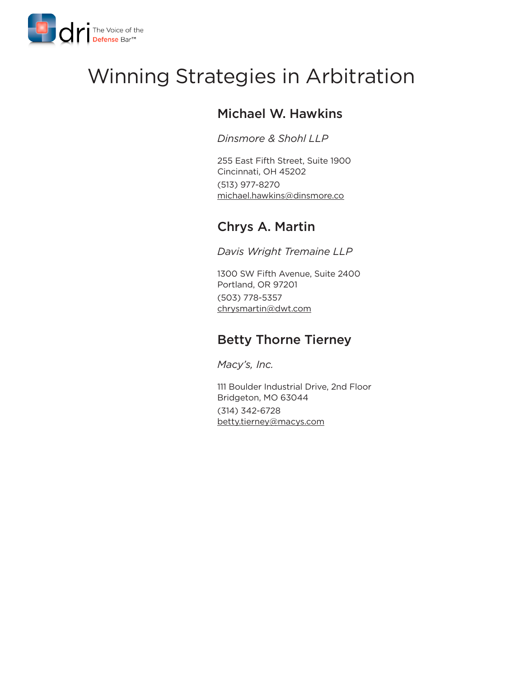

# Winning Strategies in Arbitration

# Michael W. Hawkins

*Dinsmore & Shohl LLP*

255 East Fifth Street, Suite 1900 Cincinnati, OH 45202 (513) 977-827[0](mailto:michael.hawkins@dinsmore.com) [michael.hawkins@dinsmore.co](mailto:michael.hawkins@dinsmore.com)

# Chrys A. Martin

*Davis Wright Tremaine LLP*

1300 SW Fifth Avenue, Suite 2400 Portland, OR 9[72](mailto:chrysmartin@dwt.com)01 (503) 778-5357 [chrysmartin@dwt.com](mailto:chrysmartin@dwt.com)

# Betty Thorne Tierney

*Macy's, Inc.*

111 Boulder Industrial Drive, 2nd Floor Bridgeton, MO 63044 (314) 342-672[8](mailto:betty.tierney@macys.com) [betty.tierney@macys.com](mailto:betty.tierney@macys.com)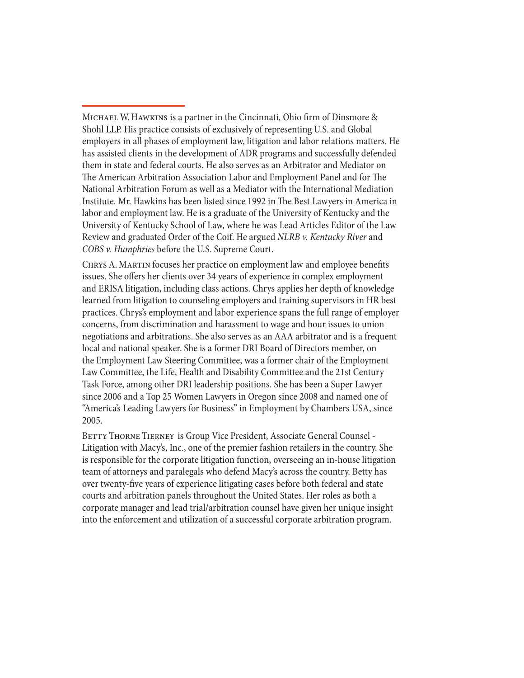Chrys A. Martin focuses her practice on employment law and employee benefits issues. She offers her clients over 34 years of experience in complex employment and ERISA litigation, including class actions. Chrys applies her depth of knowledge learned from litigation to counseling employers and training supervisors in HR best practices. Chrys's employment and labor experience spans the full range of employer concerns, from discrimination and harassment to wage and hour issues to union negotiations and arbitrations. She also serves as an AAA arbitrator and is a frequent local and national speaker. She is a former DRI Board of Directors member, on the Employment Law Steering Committee, was a former chair of the Employment Law Committee, the Life, Health and Disability Committee and the 21st Century Task Force, among other DRI leadership positions. She has been a Super Lawyer since 2006 and a Top 25 Women Lawyers in Oregon since 2008 and named one of "America's Leading Lawyers for Business" in Employment by Chambers USA, since 2005.

BETTY THORNE TIERNEY is Group Vice President, Associate General Counsel -Litigation with Macy's, Inc., one of the premier fashion retailers in the country. She is responsible for the corporate litigation function, overseeing an in-house litigation team of attorneys and paralegals who defend Macy's across the country. Betty has over twenty-five years of experience litigating cases before both federal and state courts and arbitration panels throughout the United States. Her roles as both a corporate manager and lead trial/arbitration counsel have given her unique insight into the enforcement and utilization of a successful corporate arbitration program.

MICHAEL W. HAWKINS is a partner in the Cincinnati, Ohio firm of Dinsmore & Shohl LLP. His practice consists of exclusively of representing U.S. and Global employers in all phases of employment law, litigation and labor relations matters. He has assisted clients in the development of ADR programs and successfully defended them in state and federal courts. He also serves as an Arbitrator and Mediator on The American Arbitration Association Labor and Employment Panel and for The National Arbitration Forum as well as a Mediator with the International Mediation Institute. Mr. Hawkins has been listed since 1992 in The Best Lawyers in America in labor and employment law. He is a graduate of the University of Kentucky and the University of Kentucky School of Law, where he was Lead Articles Editor of the Law Review and graduated Order of the Coif. He argued *NLRB v. Kentucky River* and *COBS v. Humphries* before the U.S. Supreme Court.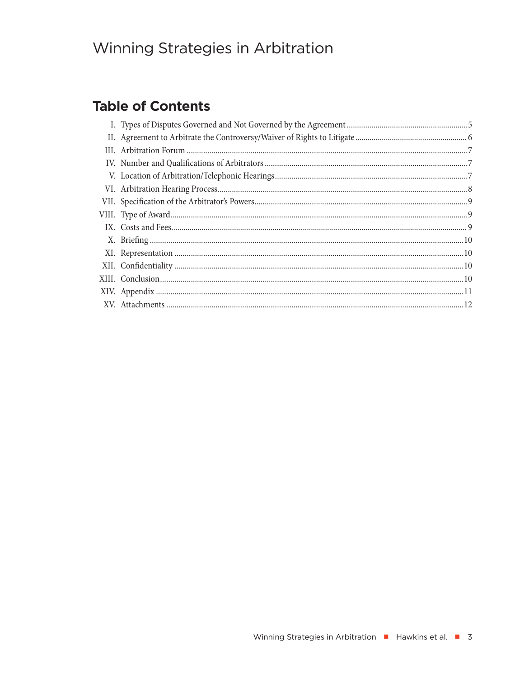# Winning Strategies in Arbitration

# **Table of Contents**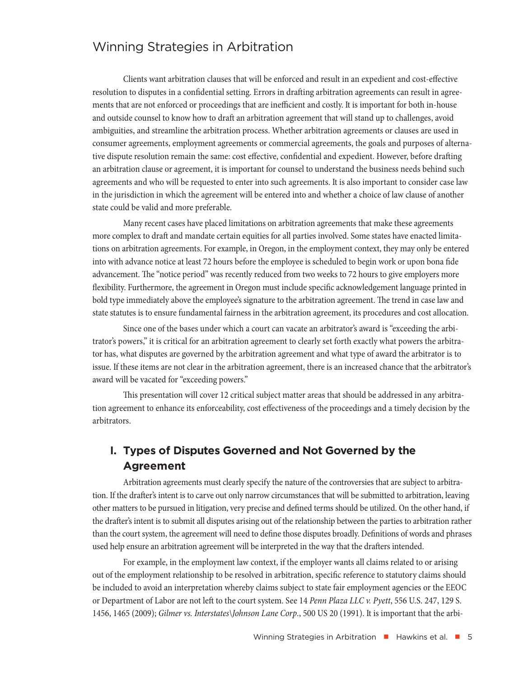# <span id="page-4-0"></span>Winning Strategies in Arbitration

Clients want arbitration clauses that will be enforced and result in an expedient and cost-effective resolution to disputes in a confidential setting. Errors in drafting arbitration agreements can result in agreements that are not enforced or proceedings that are inefficient and costly. It is important for both in-house and outside counsel to know how to draft an arbitration agreement that will stand up to challenges, avoid ambiguities, and streamline the arbitration process. Whether arbitration agreements or clauses are used in consumer agreements, employment agreements or commercial agreements, the goals and purposes of alternative dispute resolution remain the same: cost effective, confidential and expedient. However, before drafting an arbitration clause or agreement, it is important for counsel to understand the business needs behind such agreements and who will be requested to enter into such agreements. It is also important to consider case law in the jurisdiction in which the agreement will be entered into and whether a choice of law clause of another state could be valid and more preferable.

Many recent cases have placed limitations on arbitration agreements that make these agreements more complex to draft and mandate certain equities for all parties involved. Some states have enacted limitations on arbitration agreements. For example, in Oregon, in the employment context, they may only be entered into with advance notice at least 72 hours before the employee is scheduled to begin work or upon bona fide advancement. The "notice period" was recently reduced from two weeks to 72 hours to give employers more flexibility. Furthermore, the agreement in Oregon must include specific acknowledgement language printed in bold type immediately above the employee's signature to the arbitration agreement. The trend in case law and state statutes is to ensure fundamental fairness in the arbitration agreement, its procedures and cost allocation.

Since one of the bases under which a court can vacate an arbitrator's award is "exceeding the arbitrator's powers," it is critical for an arbitration agreement to clearly set forth exactly what powers the arbitrator has, what disputes are governed by the arbitration agreement and what type of award the arbitrator is to issue. If these items are not clear in the arbitration agreement, there is an increased chance that the arbitrator's award will be vacated for "exceeding powers."

This presentation will cover 12 critical subject matter areas that should be addressed in any arbitration agreement to enhance its enforceability, cost effectiveness of the proceedings and a timely decision by the arbitrators.

# **I. Types of Disputes Governed and Not Governed by the Agreement**

Arbitration agreements must clearly specify the nature of the controversies that are subject to arbitration. If the drafter's intent is to carve out only narrow circumstances that will be submitted to arbitration, leaving other matters to be pursued in litigation, very precise and defined terms should be utilized. On the other hand, if the drafter's intent is to submit all disputes arising out of the relationship between the parties to arbitration rather than the court system, the agreement will need to define those disputes broadly. Definitions of words and phrases used help ensure an arbitration agreement will be interpreted in the way that the drafters intended.

For example, in the employment law context, if the employer wants all claims related to or arising out of the employment relationship to be resolved in arbitration, specific reference to statutory claims should be included to avoid an interpretation whereby claims subject to state fair employment agencies or the EEOC or Department of Labor are not left to the court system. See 14 *Penn Plaza LLC v. Pyett*, 556 U.S. 247, 129 S. 1456, 1465 (2009); *Gilmer vs. Interstates\Johnson Lane Corp*., 500 US 20 (1991). It is important that the arbi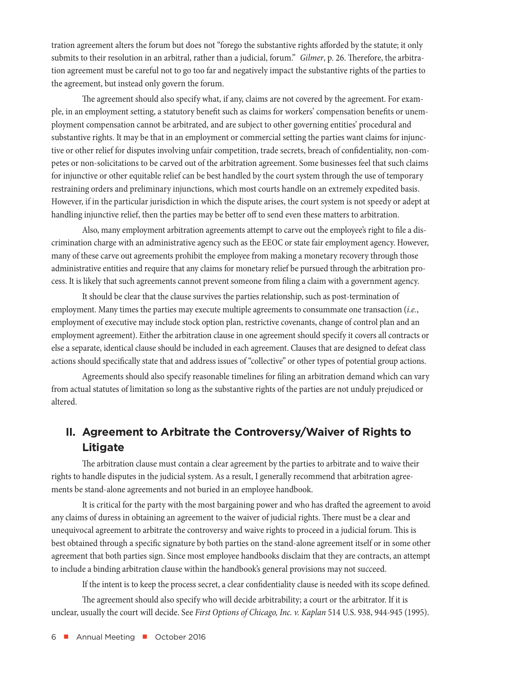<span id="page-5-0"></span>tration agreement alters the forum but does not "forego the substantive rights afforded by the statute; it only submits to their resolution in an arbitral, rather than a judicial, forum." *Gilmer*, p. 26. Therefore, the arbitration agreement must be careful not to go too far and negatively impact the substantive rights of the parties to the agreement, but instead only govern the forum.

The agreement should also specify what, if any, claims are not covered by the agreement. For example, in an employment setting, a statutory benefit such as claims for workers' compensation benefits or unemployment compensation cannot be arbitrated, and are subject to other governing entities' procedural and substantive rights. It may be that in an employment or commercial setting the parties want claims for injunctive or other relief for disputes involving unfair competition, trade secrets, breach of confidentiality, non-competes or non-solicitations to be carved out of the arbitration agreement. Some businesses feel that such claims for injunctive or other equitable relief can be best handled by the court system through the use of temporary restraining orders and preliminary injunctions, which most courts handle on an extremely expedited basis. However, if in the particular jurisdiction in which the dispute arises, the court system is not speedy or adept at handling injunctive relief, then the parties may be better off to send even these matters to arbitration.

Also, many employment arbitration agreements attempt to carve out the employee's right to file a discrimination charge with an administrative agency such as the EEOC or state fair employment agency. However, many of these carve out agreements prohibit the employee from making a monetary recovery through those administrative entities and require that any claims for monetary relief be pursued through the arbitration process. It is likely that such agreements cannot prevent someone from filing a claim with a government agency.

It should be clear that the clause survives the parties relationship, such as post-termination of employment. Many times the parties may execute multiple agreements to consummate one transaction (*i.e.*, employment of executive may include stock option plan, restrictive covenants, change of control plan and an employment agreement). Either the arbitration clause in one agreement should specify it covers all contracts or else a separate, identical clause should be included in each agreement. Clauses that are designed to defeat class actions should specifically state that and address issues of "collective" or other types of potential group actions.

Agreements should also specify reasonable timelines for filing an arbitration demand which can vary from actual statutes of limitation so long as the substantive rights of the parties are not unduly prejudiced or altered.

# **II. Agreement to Arbitrate the Controversy/Waiver of Rights to Litigate**

The arbitration clause must contain a clear agreement by the parties to arbitrate and to waive their rights to handle disputes in the judicial system. As a result, I generally recommend that arbitration agreements be stand-alone agreements and not buried in an employee handbook.

It is critical for the party with the most bargaining power and who has drafted the agreement to avoid any claims of duress in obtaining an agreement to the waiver of judicial rights. There must be a clear and unequivocal agreement to arbitrate the controversy and waive rights to proceed in a judicial forum. This is best obtained through a specific signature by both parties on the stand-alone agreement itself or in some other agreement that both parties sign. Since most employee handbooks disclaim that they are contracts, an attempt to include a binding arbitration clause within the handbook's general provisions may not succeed.

If the intent is to keep the process secret, a clear confidentiality clause is needed with its scope defined.

The agreement should also specify who will decide arbitrability; a court or the arbitrator. If it is unclear, usually the court will decide. See *First Options of Chicago, Inc. v. Kaplan* 514 U.S. 938, 944-945 (1995).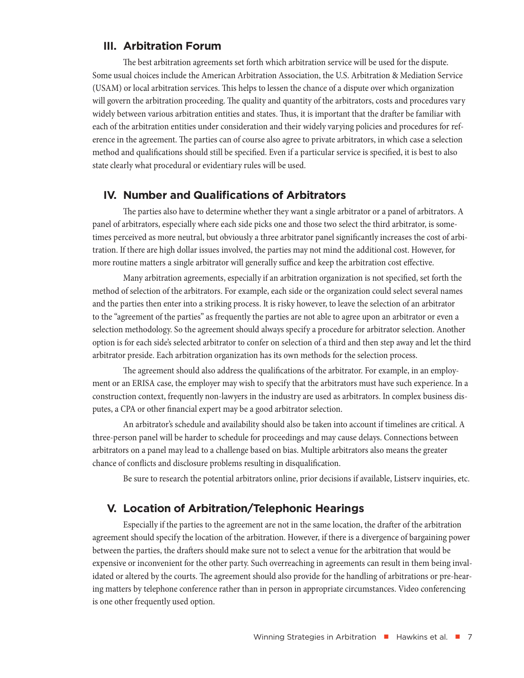# **III. Arbitration Forum**

<span id="page-6-0"></span>The best arbitration agreements set forth which arbitration service will be used for the dispute. Some usual choices include the American Arbitration Association, the U.S. Arbitration & Mediation Service (USAM) or local arbitration services. This helps to lessen the chance of a dispute over which organization will govern the arbitration proceeding. The quality and quantity of the arbitrators, costs and procedures vary widely between various arbitration entities and states. Thus, it is important that the drafter be familiar with each of the arbitration entities under consideration and their widely varying policies and procedures for reference in the agreement. The parties can of course also agree to private arbitrators, in which case a selection method and qualifications should still be specified. Even if a particular service is specified, it is best to also state clearly what procedural or evidentiary rules will be used.

# **IV. Number and Qualifications of Arbitrators**

The parties also have to determine whether they want a single arbitrator or a panel of arbitrators. A panel of arbitrators, especially where each side picks one and those two select the third arbitrator, is sometimes perceived as more neutral, but obviously a three arbitrator panel significantly increases the cost of arbitration. If there are high dollar issues involved, the parties may not mind the additional cost. However, for more routine matters a single arbitrator will generally suffice and keep the arbitration cost effective.

Many arbitration agreements, especially if an arbitration organization is not specified, set forth the method of selection of the arbitrators. For example, each side or the organization could select several names and the parties then enter into a striking process. It is risky however, to leave the selection of an arbitrator to the "agreement of the parties" as frequently the parties are not able to agree upon an arbitrator or even a selection methodology. So the agreement should always specify a procedure for arbitrator selection. Another option is for each side's selected arbitrator to confer on selection of a third and then step away and let the third arbitrator preside. Each arbitration organization has its own methods for the selection process.

The agreement should also address the qualifications of the arbitrator. For example, in an employment or an ERISA case, the employer may wish to specify that the arbitrators must have such experience. In a construction context, frequently non-lawyers in the industry are used as arbitrators. In complex business disputes, a CPA or other financial expert may be a good arbitrator selection.

An arbitrator's schedule and availability should also be taken into account if timelines are critical. A three-person panel will be harder to schedule for proceedings and may cause delays. Connections between arbitrators on a panel may lead to a challenge based on bias. Multiple arbitrators also means the greater chance of conflicts and disclosure problems resulting in disqualification.

Be sure to research the potential arbitrators online, prior decisions if available, Listserv inquiries, etc.

# **V. Location of Arbitration/Telephonic Hearings**

Especially if the parties to the agreement are not in the same location, the drafter of the arbitration agreement should specify the location of the arbitration. However, if there is a divergence of bargaining power between the parties, the drafters should make sure not to select a venue for the arbitration that would be expensive or inconvenient for the other party. Such overreaching in agreements can result in them being invalidated or altered by the courts. The agreement should also provide for the handling of arbitrations or pre-hearing matters by telephone conference rather than in person in appropriate circumstances. Video conferencing is one other frequently used option.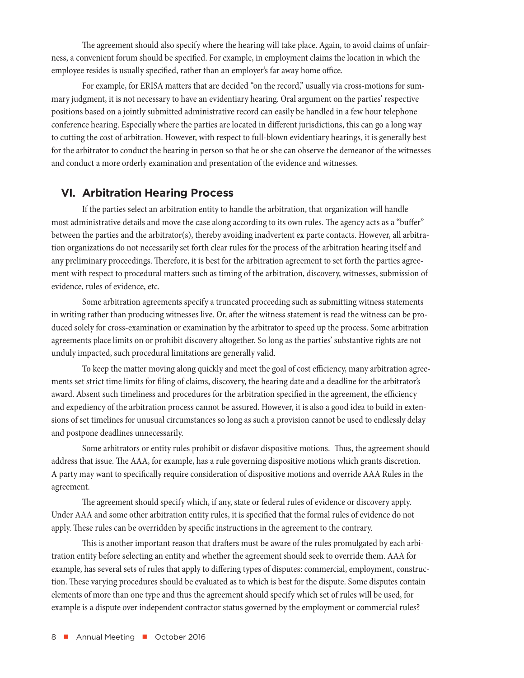<span id="page-7-0"></span>The agreement should also specify where the hearing will take place. Again, to avoid claims of unfairness, a convenient forum should be specified. For example, in employment claims the location in which the employee resides is usually specified, rather than an employer's far away home office.

For example, for ERISA matters that are decided "on the record," usually via cross-motions for summary judgment, it is not necessary to have an evidentiary hearing. Oral argument on the parties' respective positions based on a jointly submitted administrative record can easily be handled in a few hour telephone conference hearing. Especially where the parties are located in different jurisdictions, this can go a long way to cutting the cost of arbitration. However, with respect to full-blown evidentiary hearings, it is generally best for the arbitrator to conduct the hearing in person so that he or she can observe the demeanor of the witnesses and conduct a more orderly examination and presentation of the evidence and witnesses.

# **VI. Arbitration Hearing Process**

If the parties select an arbitration entity to handle the arbitration, that organization will handle most administrative details and move the case along according to its own rules. The agency acts as a "buffer" between the parties and the arbitrator(s), thereby avoiding inadvertent ex parte contacts. However, all arbitration organizations do not necessarily set forth clear rules for the process of the arbitration hearing itself and any preliminary proceedings. Therefore, it is best for the arbitration agreement to set forth the parties agreement with respect to procedural matters such as timing of the arbitration, discovery, witnesses, submission of evidence, rules of evidence, etc.

Some arbitration agreements specify a truncated proceeding such as submitting witness statements in writing rather than producing witnesses live. Or, after the witness statement is read the witness can be produced solely for cross-examination or examination by the arbitrator to speed up the process. Some arbitration agreements place limits on or prohibit discovery altogether. So long as the parties' substantive rights are not unduly impacted, such procedural limitations are generally valid.

To keep the matter moving along quickly and meet the goal of cost efficiency, many arbitration agreements set strict time limits for filing of claims, discovery, the hearing date and a deadline for the arbitrator's award. Absent such timeliness and procedures for the arbitration specified in the agreement, the efficiency and expediency of the arbitration process cannot be assured. However, it is also a good idea to build in extensions of set timelines for unusual circumstances so long as such a provision cannot be used to endlessly delay and postpone deadlines unnecessarily.

Some arbitrators or entity rules prohibit or disfavor dispositive motions. Thus, the agreement should address that issue. The AAA, for example, has a rule governing dispositive motions which grants discretion. A party may want to specifically require consideration of dispositive motions and override AAA Rules in the agreement.

The agreement should specify which, if any, state or federal rules of evidence or discovery apply. Under AAA and some other arbitration entity rules, it is specified that the formal rules of evidence do not apply. These rules can be overridden by specific instructions in the agreement to the contrary.

This is another important reason that drafters must be aware of the rules promulgated by each arbitration entity before selecting an entity and whether the agreement should seek to override them. AAA for example, has several sets of rules that apply to differing types of disputes: commercial, employment, construction. These varying procedures should be evaluated as to which is best for the dispute. Some disputes contain elements of more than one type and thus the agreement should specify which set of rules will be used, for example is a dispute over independent contractor status governed by the employment or commercial rules?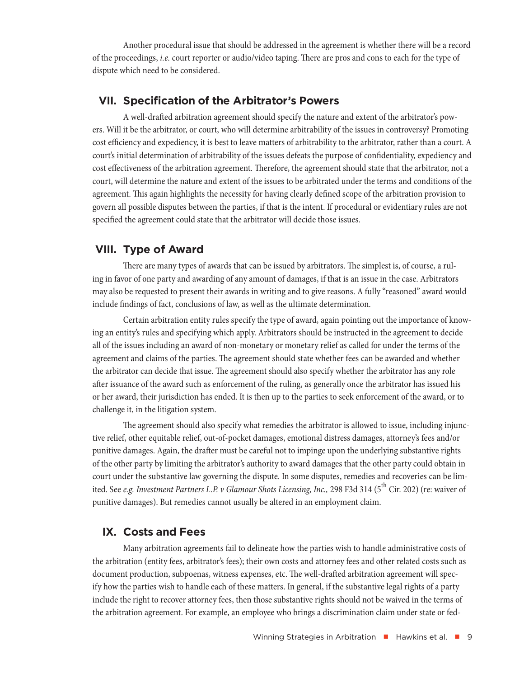<span id="page-8-0"></span>Another procedural issue that should be addressed in the agreement is whether there will be a record of the proceedings, *i.e.* court reporter or audio/video taping. There are pros and cons to each for the type of dispute which need to be considered.

# **VII. Specification of the Arbitrator's Powers**

A well-drafted arbitration agreement should specify the nature and extent of the arbitrator's powers. Will it be the arbitrator, or court, who will determine arbitrability of the issues in controversy? Promoting cost efficiency and expediency, it is best to leave matters of arbitrability to the arbitrator, rather than a court. A court's initial determination of arbitrability of the issues defeats the purpose of confidentiality, expediency and cost effectiveness of the arbitration agreement. Therefore, the agreement should state that the arbitrator, not a court, will determine the nature and extent of the issues to be arbitrated under the terms and conditions of the agreement. This again highlights the necessity for having clearly defined scope of the arbitration provision to govern all possible disputes between the parties, if that is the intent. If procedural or evidentiary rules are not specified the agreement could state that the arbitrator will decide those issues.

# **VIII. Type of Award**

There are many types of awards that can be issued by arbitrators. The simplest is, of course, a ruling in favor of one party and awarding of any amount of damages, if that is an issue in the case. Arbitrators may also be requested to present their awards in writing and to give reasons. A fully "reasoned" award would include findings of fact, conclusions of law, as well as the ultimate determination.

Certain arbitration entity rules specify the type of award, again pointing out the importance of knowing an entity's rules and specifying which apply. Arbitrators should be instructed in the agreement to decide all of the issues including an award of non-monetary or monetary relief as called for under the terms of the agreement and claims of the parties. The agreement should state whether fees can be awarded and whether the arbitrator can decide that issue. The agreement should also specify whether the arbitrator has any role after issuance of the award such as enforcement of the ruling, as generally once the arbitrator has issued his or her award, their jurisdiction has ended. It is then up to the parties to seek enforcement of the award, or to challenge it, in the litigation system.

The agreement should also specify what remedies the arbitrator is allowed to issue, including injunctive relief, other equitable relief, out-of-pocket damages, emotional distress damages, attorney's fees and/or punitive damages. Again, the drafter must be careful not to impinge upon the underlying substantive rights of the other party by limiting the arbitrator's authority to award damages that the other party could obtain in court under the substantive law governing the dispute. In some disputes, remedies and recoveries can be limited. See *e.g. Investment Partners L.P. v Glamour Shots Licensing, Inc., 298 F3d 314 (5<sup>th</sup> Cir. 202) (re: waiver of* punitive damages). But remedies cannot usually be altered in an employment claim.

# **IX. Costs and Fees**

Many arbitration agreements fail to delineate how the parties wish to handle administrative costs of the arbitration (entity fees, arbitrator's fees); their own costs and attorney fees and other related costs such as document production, subpoenas, witness expenses, etc. The well-drafted arbitration agreement will specify how the parties wish to handle each of these matters. In general, if the substantive legal rights of a party include the right to recover attorney fees, then those substantive rights should not be waived in the terms of the arbitration agreement. For example, an employee who brings a discrimination claim under state or fed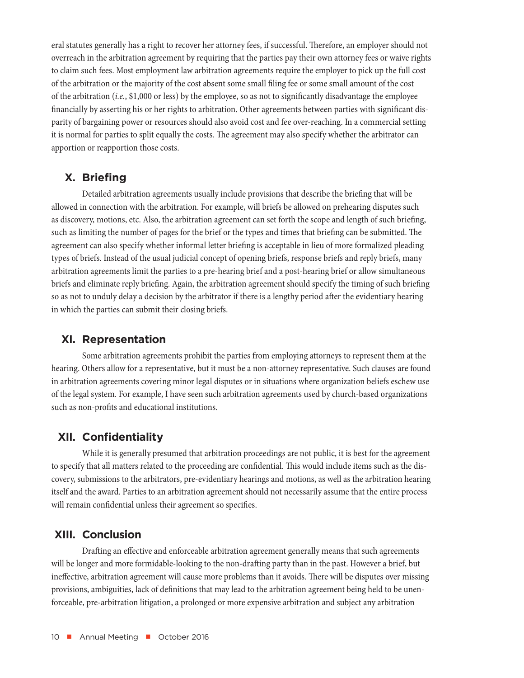<span id="page-9-0"></span>eral statutes generally has a right to recover her attorney fees, if successful. Therefore, an employer should not overreach in the arbitration agreement by requiring that the parties pay their own attorney fees or waive rights to claim such fees. Most employment law arbitration agreements require the employer to pick up the full cost of the arbitration or the majority of the cost absent some small filing fee or some small amount of the cost of the arbitration (*i.e.*, \$1,000 or less) by the employee, so as not to significantly disadvantage the employee financially by asserting his or her rights to arbitration. Other agreements between parties with significant disparity of bargaining power or resources should also avoid cost and fee over-reaching. In a commercial setting it is normal for parties to split equally the costs. The agreement may also specify whether the arbitrator can apportion or reapportion those costs.

# **X. Briefing**

Detailed arbitration agreements usually include provisions that describe the briefing that will be allowed in connection with the arbitration. For example, will briefs be allowed on prehearing disputes such as discovery, motions, etc. Also, the arbitration agreement can set forth the scope and length of such briefing, such as limiting the number of pages for the brief or the types and times that briefing can be submitted. The agreement can also specify whether informal letter briefing is acceptable in lieu of more formalized pleading types of briefs. Instead of the usual judicial concept of opening briefs, response briefs and reply briefs, many arbitration agreements limit the parties to a pre-hearing brief and a post-hearing brief or allow simultaneous briefs and eliminate reply briefing. Again, the arbitration agreement should specify the timing of such briefing so as not to unduly delay a decision by the arbitrator if there is a lengthy period after the evidentiary hearing in which the parties can submit their closing briefs.

# **XI. Representation**

Some arbitration agreements prohibit the parties from employing attorneys to represent them at the hearing. Others allow for a representative, but it must be a non-attorney representative. Such clauses are found in arbitration agreements covering minor legal disputes or in situations where organization beliefs eschew use of the legal system. For example, I have seen such arbitration agreements used by church-based organizations such as non-profits and educational institutions.

# **XII. Confidentiality**

While it is generally presumed that arbitration proceedings are not public, it is best for the agreement to specify that all matters related to the proceeding are confidential. This would include items such as the discovery, submissions to the arbitrators, pre-evidentiary hearings and motions, as well as the arbitration hearing itself and the award. Parties to an arbitration agreement should not necessarily assume that the entire process will remain confidential unless their agreement so specifies.

### **XIII. Conclusion**

Drafting an effective and enforceable arbitration agreement generally means that such agreements will be longer and more formidable-looking to the non-drafting party than in the past. However a brief, but ineffective, arbitration agreement will cause more problems than it avoids. There will be disputes over missing provisions, ambiguities, lack of definitions that may lead to the arbitration agreement being held to be unenforceable, pre-arbitration litigation, a prolonged or more expensive arbitration and subject any arbitration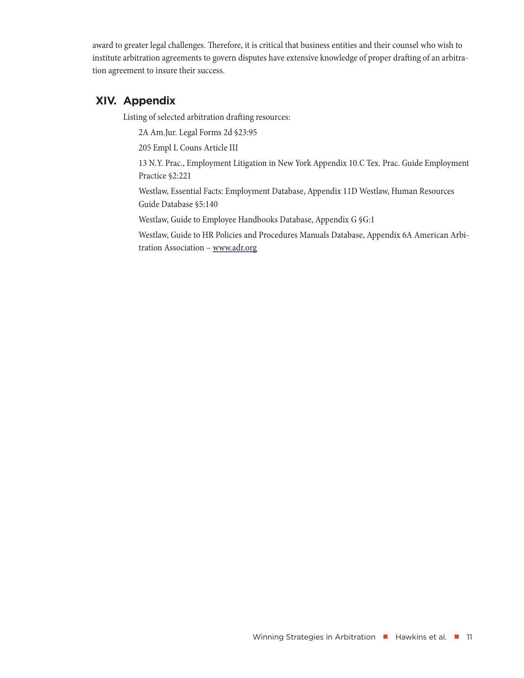<span id="page-10-0"></span>award to greater legal challenges. Therefore, it is critical that business entities and their counsel who wish to institute arbitration agreements to govern disputes have extensive knowledge of proper drafting of an arbitration agreement to insure their success.

# **XIV. Appendix**

Listing of selected arbitration drafting resources:

2A Am.Jur. Legal Forms 2d §23:95

205 Empl L Couns Article III

 13 N.Y. Prac., Employment Litigation in New York Appendix 10.C Tex. Prac. Guide Employment Practice §2:221

 Westlaw, Essential Facts: Employment Database, Appendix 11D Westlaw, Human Resources Guide Database §5:140

Westlaw, Guide to Employee Handbooks Database, Appendix G §G:1

 Westlaw, Guide to HR Policies and Procedures Manuals Database, Appendix 6A American Arbitration Association – [www.adr.org](http://www.adr.org/)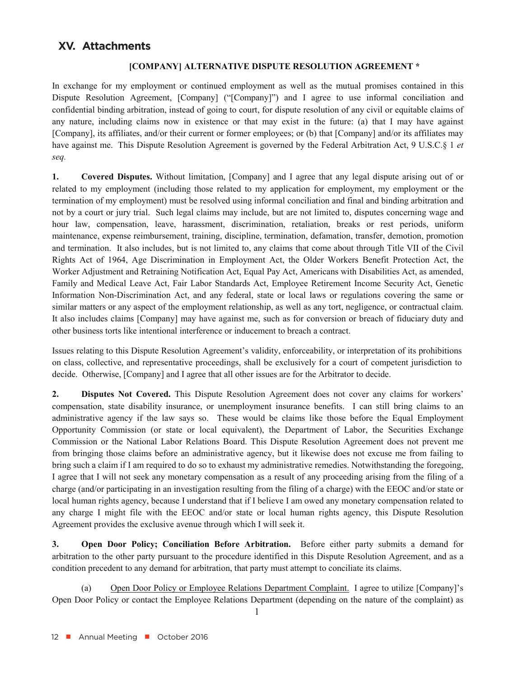# <span id="page-11-0"></span>**XV. Attachments**

## **[COMPANY] ALTERNATIVE DISPUTE RESOLUTION AGREEMENT \***

In exchange for my employment or continued employment as well as the mutual promises contained in this Dispute Resolution Agreement, [Company] ("[Company]") and I agree to use informal conciliation and confidential binding arbitration, instead of going to court, for dispute resolution of any civil or equitable claims of any nature, including claims now in existence or that may exist in the future: (a) that I may have against [Company], its affiliates, and/or their current or former employees; or (b) that [Company] and/or its affiliates may have against me. This Dispute Resolution Agreement is governed by the Federal Arbitration Act, 9 U.S.C.§ 1 *et seq.*

**1. Covered Disputes.** Without limitation, [Company] and I agree that any legal dispute arising out of or related to my employment (including those related to my application for employment, my employment or the termination of my employment) must be resolved using informal conciliation and final and binding arbitration and not by a court or jury trial. Such legal claims may include, but are not limited to, disputes concerning wage and hour law, compensation, leave, harassment, discrimination, retaliation, breaks or rest periods, uniform maintenance, expense reimbursement, training, discipline, termination, defamation, transfer, demotion, promotion and termination. It also includes, but is not limited to, any claims that come about through Title VII of the Civil Rights Act of 1964, Age Discrimination in Employment Act, the Older Workers Benefit Protection Act, the Worker Adjustment and Retraining Notification Act, Equal Pay Act, Americans with Disabilities Act, as amended, Family and Medical Leave Act, Fair Labor Standards Act, Employee Retirement Income Security Act, Genetic Information Non-Discrimination Act, and any federal, state or local laws or regulations covering the same or similar matters or any aspect of the employment relationship, as well as any tort, negligence, or contractual claim. It also includes claims [Company] may have against me, such as for conversion or breach of fiduciary duty and other business torts like intentional interference or inducement to breach a contract.

Issues relating to this Dispute Resolution Agreement's validity, enforceability, or interpretation of its prohibitions on class, collective, and representative proceedings, shall be exclusively for a court of competent jurisdiction to decide. Otherwise, [Company] and I agree that all other issues are for the Arbitrator to decide.

**2. Disputes Not Covered.** This Dispute Resolution Agreement does not cover any claims for workers' compensation, state disability insurance, or unemployment insurance benefits. I can still bring claims to an administrative agency if the law says so. These would be claims like those before the Equal Employment Opportunity Commission (or state or local equivalent), the Department of Labor, the Securities Exchange Commission or the National Labor Relations Board. This Dispute Resolution Agreement does not prevent me from bringing those claims before an administrative agency, but it likewise does not excuse me from failing to bring such a claim if I am required to do so to exhaust my administrative remedies. Notwithstanding the foregoing, I agree that I will not seek any monetary compensation as a result of any proceeding arising from the filing of a charge (and/or participating in an investigation resulting from the filing of a charge) with the EEOC and/or state or local human rights agency, because I understand that if I believe I am owed any monetary compensation related to any charge I might file with the EEOC and/or state or local human rights agency, this Dispute Resolution Agreement provides the exclusive avenue through which I will seek it.

**3. Open Door Policy; Conciliation Before Arbitration.** Before either party submits a demand for arbitration to the other party pursuant to the procedure identified in this Dispute Resolution Agreement, and as a condition precedent to any demand for arbitration, that party must attempt to conciliate its claims.

(a) Open Door Policy or Employee Relations Department Complaint. I agree to utilize [Company]'s Open Door Policy or contact the Employee Relations Department (depending on the nature of the complaint) as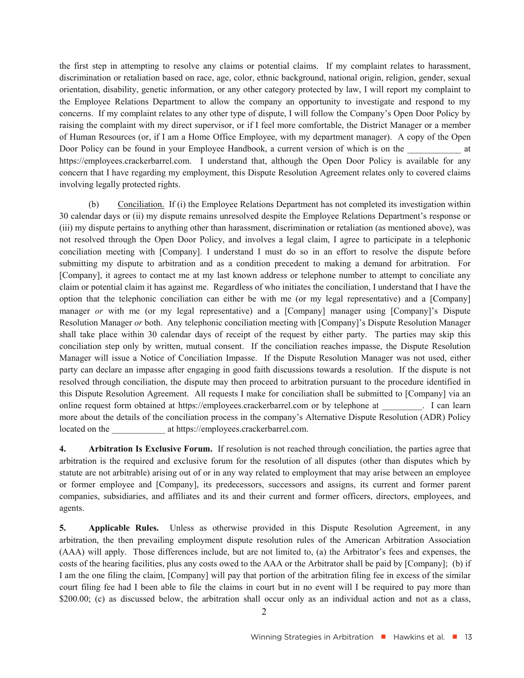the first step in attempting to resolve any claims or potential claims. If my complaint relates to harassment, discrimination or retaliation based on race, age, color, ethnic background, national origin, religion, gender, sexual orientation, disability, genetic information, or any other category protected by law, I will report my complaint to the Employee Relations Department to allow the company an opportunity to investigate and respond to my concerns. If my complaint relates to any other type of dispute, I will follow the Company's Open Door Policy by raising the complaint with my direct supervisor, or if I feel more comfortable, the District Manager or a member of Human Resources (or, if I am a Home Office Employee, with my department manager). A copy of the Open Door Policy can be found in your Employee Handbook, a current version of which is on the  $\blacksquare$ https://employees.crackerbarrel.com. I understand that, although the Open Door Policy is available for any concern that I have regarding my employment, this Dispute Resolution Agreement relates only to covered claims involving legally protected rights.

(b) Conciliation. If (i) the Employee Relations Department has not completed its investigation within 30 calendar days or (ii) my dispute remains unresolved despite the Employee Relations Department's response or (iii) my dispute pertains to anything other than harassment, discrimination or retaliation (as mentioned above), was not resolved through the Open Door Policy, and involves a legal claim, I agree to participate in a telephonic conciliation meeting with [Company]. I understand I must do so in an effort to resolve the dispute before submitting my dispute to arbitration and as a condition precedent to making a demand for arbitration. For [Company], it agrees to contact me at my last known address or telephone number to attempt to conciliate any claim or potential claim it has against me. Regardless of who initiates the conciliation, I understand that I have the option that the telephonic conciliation can either be with me (or my legal representative) and a [Company] manager *or* with me (or my legal representative) and a [Company] manager using [Company]'s Dispute Resolution Manager *or* both. Any telephonic conciliation meeting with [Company]'s Dispute Resolution Manager shall take place within 30 calendar days of receipt of the request by either party. The parties may skip this conciliation step only by written, mutual consent. If the conciliation reaches impasse, the Dispute Resolution Manager will issue a Notice of Conciliation Impasse. If the Dispute Resolution Manager was not used, either party can declare an impasse after engaging in good faith discussions towards a resolution. If the dispute is not resolved through conciliation, the dispute may then proceed to arbitration pursuant to the procedure identified in this Dispute Resolution Agreement. All requests I make for conciliation shall be submitted to [Company] via an online request form obtained at https://employees.crackerbarrel.com or by telephone at . I can learn more about the details of the conciliation process in the company's Alternative Dispute Resolution (ADR) Policy located on the  $at$  https://employees.crackerbarrel.com.

**4. Arbitration Is Exclusive Forum.** If resolution is not reached through conciliation, the parties agree that arbitration is the required and exclusive forum for the resolution of all disputes (other than disputes which by statute are not arbitrable) arising out of or in any way related to employment that may arise between an employee or former employee and [Company], its predecessors, successors and assigns, its current and former parent companies, subsidiaries, and affiliates and its and their current and former officers, directors, employees, and agents.

**5. Applicable Rules.** Unless as otherwise provided in this Dispute Resolution Agreement, in any arbitration, the then prevailing employment dispute resolution rules of the American Arbitration Association (AAA) will apply. Those differences include, but are not limited to, (a) the Arbitrator's fees and expenses, the costs of the hearing facilities, plus any costs owed to the AAA or the Arbitrator shall be paid by [Company]; (b) if I am the one filing the claim, [Company] will pay that portion of the arbitration filing fee in excess of the similar court filing fee had I been able to file the claims in court but in no event will I be required to pay more than \$200.00; (c) as discussed below, the arbitration shall occur only as an individual action and not as a class,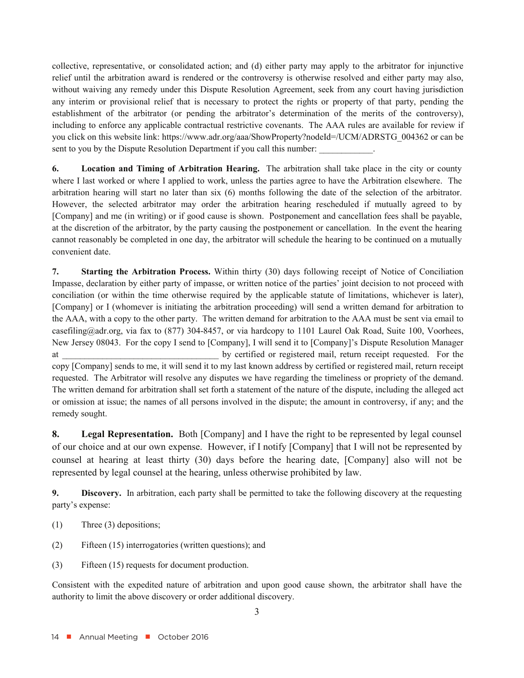collective, representative, or consolidated action; and (d) either party may apply to the arbitrator for injunctive relief until the arbitration award is rendered or the controversy is otherwise resolved and either party may also, without waiving any remedy under this Dispute Resolution Agreement, seek from any court having jurisdiction any interim or provisional relief that is necessary to protect the rights or property of that party, pending the establishment of the arbitrator (or pending the arbitrator's determination of the merits of the controversy), including to enforce any applicable contractual restrictive covenants. The AAA rules are available for review if you click on this website link: https://www.adr.org/aaa/ShowProperty?nodeId=/UCM/ADRSTG\_004362 or can be sent to you by the Dispute Resolution Department if you call this number:

**6. Location and Timing of Arbitration Hearing.** The arbitration shall take place in the city or county where I last worked or where I applied to work, unless the parties agree to have the Arbitration elsewhere. The arbitration hearing will start no later than six (6) months following the date of the selection of the arbitrator. However, the selected arbitrator may order the arbitration hearing rescheduled if mutually agreed to by [Company] and me (in writing) or if good cause is shown. Postponement and cancellation fees shall be payable, at the discretion of the arbitrator, by the party causing the postponement or cancellation. In the event the hearing cannot reasonably be completed in one day, the arbitrator will schedule the hearing to be continued on a mutually convenient date.

**7. Starting the Arbitration Process.** Within thirty (30) days following receipt of Notice of Conciliation Impasse, declaration by either party of impasse, or written notice of the parties' joint decision to not proceed with conciliation (or within the time otherwise required by the applicable statute of limitations, whichever is later), [Company] or I (whomever is initiating the arbitration proceeding) will send a written demand for arbitration to the AAA, with a copy to the other party. The written demand for arbitration to the AAA must be sent via email to casefiling@adr.org, via fax to (877) 304-8457, or via hardcopy to 1101 Laurel Oak Road, Suite 100, Voorhees, New Jersey 08043. For the copy I send to [Company], I will send it to [Company]'s Dispute Resolution Manager at \_\_\_\_\_\_\_\_\_\_\_\_\_\_\_\_\_\_\_\_\_\_\_\_\_\_\_\_\_\_\_\_\_\_\_ by certified or registered mail, return receipt requested. For the copy [Company] sends to me, it will send it to my last known address by certified or registered mail, return receipt requested. The Arbitrator will resolve any disputes we have regarding the timeliness or propriety of the demand. The written demand for arbitration shall set forth a statement of the nature of the dispute, including the alleged act or omission at issue; the names of all persons involved in the dispute; the amount in controversy, if any; and the remedy sought.

**8. Legal Representation.** Both [Company] and I have the right to be represented by legal counsel of our choice and at our own expense. However, if I notify [Company] that I will not be represented by counsel at hearing at least thirty (30) days before the hearing date, [Company] also will not be represented by legal counsel at the hearing, unless otherwise prohibited by law.

**9. Discovery.** In arbitration, each party shall be permitted to take the following discovery at the requesting party's expense:

(1) Three (3) depositions;

- (2) Fifteen (15) interrogatories (written questions); and
- (3) Fifteen (15) requests for document production.

Consistent with the expedited nature of arbitration and upon good cause shown, the arbitrator shall have the authority to limit the above discovery or order additional discovery.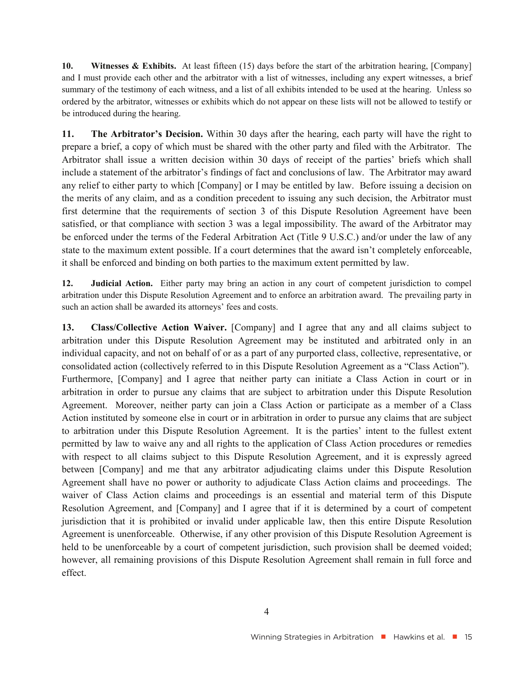**10. Witnesses & Exhibits.** At least fifteen (15) days before the start of the arbitration hearing, [Company] and I must provide each other and the arbitrator with a list of witnesses, including any expert witnesses, a brief summary of the testimony of each witness, and a list of all exhibits intended to be used at the hearing. Unless so ordered by the arbitrator, witnesses or exhibits which do not appear on these lists will not be allowed to testify or be introduced during the hearing.

**11. The Arbitrator's Decision.** Within 30 days after the hearing, each party will have the right to prepare a brief, a copy of which must be shared with the other party and filed with the Arbitrator. The Arbitrator shall issue a written decision within 30 days of receipt of the parties' briefs which shall include a statement of the arbitrator's findings of fact and conclusions of law. The Arbitrator may award any relief to either party to which [Company] or I may be entitled by law. Before issuing a decision on the merits of any claim, and as a condition precedent to issuing any such decision, the Arbitrator must first determine that the requirements of section 3 of this Dispute Resolution Agreement have been satisfied, or that compliance with section 3 was a legal impossibility. The award of the Arbitrator may be enforced under the terms of the Federal Arbitration Act (Title 9 U.S.C.) and/or under the law of any state to the maximum extent possible. If a court determines that the award isn't completely enforceable, it shall be enforced and binding on both parties to the maximum extent permitted by law.

**12. Judicial Action.** Either party may bring an action in any court of competent jurisdiction to compel arbitration under this Dispute Resolution Agreement and to enforce an arbitration award. The prevailing party in such an action shall be awarded its attorneys' fees and costs.

**13. Class/Collective Action Waiver.** [Company] and I agree that any and all claims subject to arbitration under this Dispute Resolution Agreement may be instituted and arbitrated only in an individual capacity, and not on behalf of or as a part of any purported class, collective, representative, or consolidated action (collectively referred to in this Dispute Resolution Agreement as a "Class Action"). Furthermore, [Company] and I agree that neither party can initiate a Class Action in court or in arbitration in order to pursue any claims that are subject to arbitration under this Dispute Resolution Agreement. Moreover, neither party can join a Class Action or participate as a member of a Class Action instituted by someone else in court or in arbitration in order to pursue any claims that are subject to arbitration under this Dispute Resolution Agreement. It is the parties' intent to the fullest extent permitted by law to waive any and all rights to the application of Class Action procedures or remedies with respect to all claims subject to this Dispute Resolution Agreement, and it is expressly agreed between [Company] and me that any arbitrator adjudicating claims under this Dispute Resolution Agreement shall have no power or authority to adjudicate Class Action claims and proceedings. The waiver of Class Action claims and proceedings is an essential and material term of this Dispute Resolution Agreement, and [Company] and I agree that if it is determined by a court of competent jurisdiction that it is prohibited or invalid under applicable law, then this entire Dispute Resolution Agreement is unenforceable. Otherwise, if any other provision of this Dispute Resolution Agreement is held to be unenforceable by a court of competent jurisdiction, such provision shall be deemed voided; however, all remaining provisions of this Dispute Resolution Agreement shall remain in full force and effect.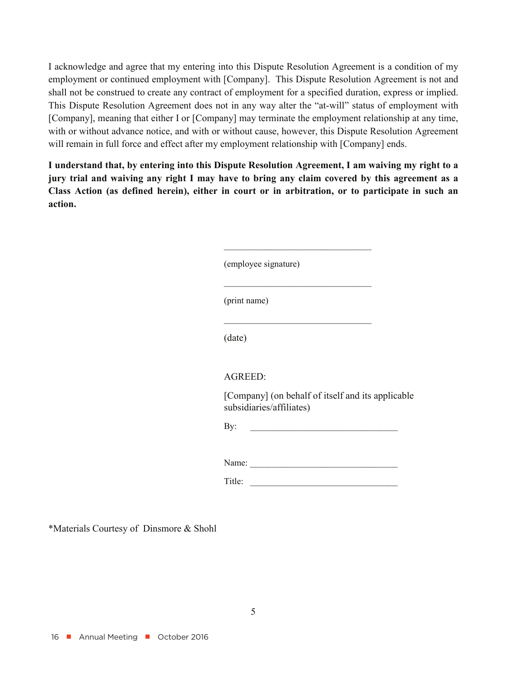I acknowledge and agree that my entering into this Dispute Resolution Agreement is a condition of my employment or continued employment with [Company].This Dispute Resolution Agreement is not and shall not be construed to create any contract of employment for a specified duration, express or implied. This Dispute Resolution Agreement does not in any way alter the "at-will" status of employment with [Company], meaning that either I or [Company] may terminate the employment relationship at any time, with or without advance notice, and with or without cause, however, this Dispute Resolution Agreement will remain in full force and effect after my employment relationship with [Company] ends.

**I understand that, by entering into this Dispute Resolution Agreement, I am waiving my right to a jury trial and waiving any right I may have to bring any claim covered by this agreement as a Class Action (as defined herein), either in court or in arbitration, or to participate in such an action.** 

> $\mathcal{L}_\mathcal{L}$ (employee signature)  $\mathcal{L}_\mathcal{L}$ (print name)  $\mathcal{L}_\mathcal{L}$  (date) AGREED: [Company] (on behalf of itself and its applicable subsidiaries/affiliates) By:  $\qquad \qquad$ Name: Title: \_\_\_\_\_\_\_\_\_\_\_\_\_\_\_\_\_\_\_\_\_\_\_\_\_\_\_\_\_\_\_\_\_

\*Materials Courtesy of Dinsmore & Shohl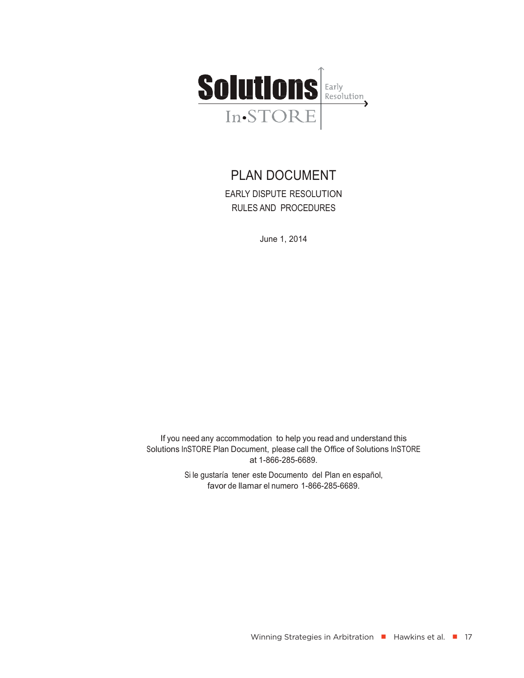

# PLAN DOCUMENT

EARLY DISPUTE RESOLUTION RULES AND PROCEDURES

June 1, 2014

If you need any accommodation to help you read and understand this Solutions InSTORE Plan Document, please call the Office of Solutions InSTORE at 1-866-285-6689.

> Si le gustaría tener este Documento del Plan en español, favor de llamar el numero 1-866-285-6689.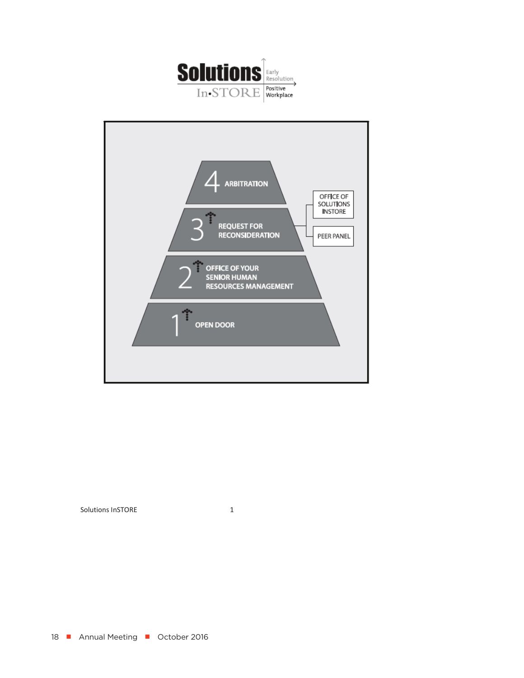

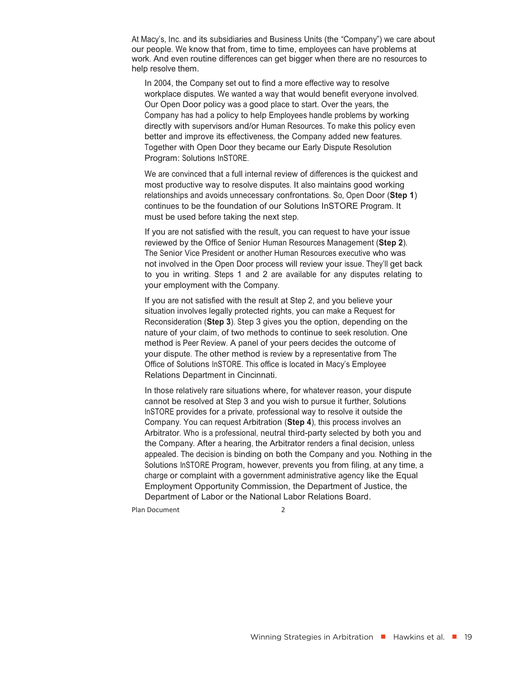At Macy's, Inc. and its subsidiaries and Business Units (the "Company") we care about our people. We know that from, time to time, employees can have problems at work. And even routine differences can get bigger when there are no resources to help resolve them.

In 2004, the Company set out to find a more effective way to resolve workplace disputes. We wanted a way that would benefit everyone involved. Our Open Door policy was a good place to start. Over the years, the Company has had a policy to help Employees handle problems by working directly with supervisors and/or Human Resources. To make this policy even better and improve its effectiveness, the Company added new features. Together with Open Door they became our Early Dispute Resolution Program: Solutions InSTORE.

We are convinced that a full internal review of differences is the quickest and most productive way to resolve disputes. It also maintains good working relationships and avoids unnecessary confrontations. So, Open Door (**Step 1**) continues to be the foundation of our Solutions InSTORE Program. It must be used before taking the next step.

If you are not satisfied with the result, you can request to have your issue reviewed by the Office of Senior Human Resources Management (**Step 2**). The Senior Vice President or another Human Resources executive who was not involved in the Open Door process will review your issue. They'll get back to you in writing. Steps 1 and 2 are available for any disputes relating to your employment with the Company.

If you are not satisfied with the result at Step 2, and you believe your situation involves legally protected rights, you can make a Request for Reconsideration (**Step 3**). Step 3 gives you the option, depending on the nature of your claim, of two methods to continue to seek resolution. One method is Peer Review. A panel of your peers decides the outcome of your dispute. The other method is review by a representative from The Office of Solutions InSTORE. This office is located in Macy's Employee Relations Department in Cincinnati.

In those relatively rare situations where, for whatever reason, your dispute cannot be resolved at Step 3 and you wish to pursue it further, Solutions InSTORE provides for a private, professional way to resolve it outside the Company. You can request Arbitration (**Step 4**), this process involves an Arbitrator. Who is a professional, neutral third-party selected by both you and the Company. After a hearing, the Arbitrator renders a final decision, unless appealed. The decision is binding on both the Company and you. Nothing in the Solutions InSTORE Program, however, prevents you from filing, at any time, a charge or complaint with a government administrative agency like the Equal Employment Opportunity Commission, the Department of Justice, the Department of Labor or the National Labor Relations Board.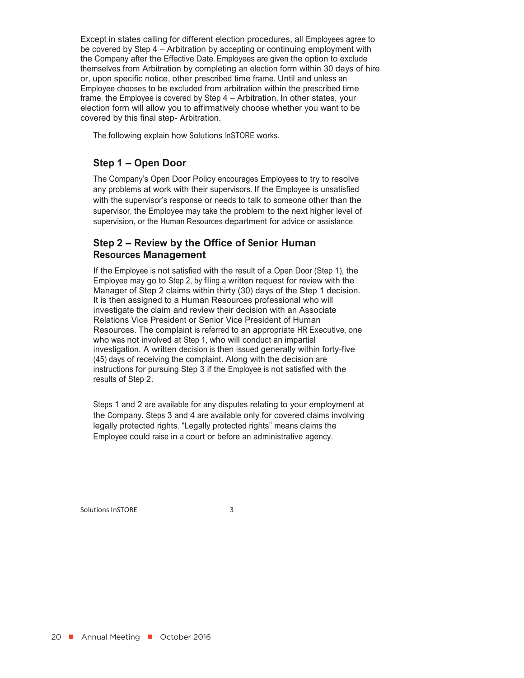Except in states calling for different election procedures, all Employees agree to be covered by Step 4 – Arbitration by accepting or continuing employment with the Company after the Effective Date. Employees are given the option to exclude themselves from Arbitration by completing an election form within 30 days of hire or, upon specific notice, other prescribed time frame. Until and unless an Employee chooses to be excluded from arbitration within the prescribed time frame, the Employee is covered by Step 4 – Arbitration. In other states, your election form will allow you to affirmatively choose whether you want to be covered by this final step- Arbitration.

The following explain how Solutions InSTORE works.

# **Step 1 – Open Door**

The Company's Open Door Policy encourages Employees to try to resolve any problems at work with their supervisors. If the Employee is unsatisfied with the supervisor's response or needs to talk to someone other than the supervisor, the Employee may take the problem to the next higher level of supervision, or the Human Resources department for advice or assistance.

# **Step 2 – Review by the Office of Senior Human Resources Management**

If the Employee is not satisfied with the result of a Open Door (Step 1), the Employee may go to Step 2, by filing a written request for review with the Manager of Step 2 claims within thirty (30) days of the Step 1 decision. It is then assigned to a Human Resources professional who will investigate the claim and review their decision with an Associate Relations Vice President or Senior Vice President of Human Resources. The complaint is referred to an appropriate HR Executive, one who was not involved at Step 1, who will conduct an impartial investigation. A written decision is then issued generally within forty-five (45) days of receiving the complaint. Along with the decision are instructions for pursuing Step 3 if the Employee is not satisfied with the results of Step 2.

Steps 1 and 2 are available for any disputes relating to your employment at the Company. Steps 3 and 4 are available only for covered claims involving legally protected rights. "Legally protected rights" means claims the Employee could raise in a court or before an administrative agency.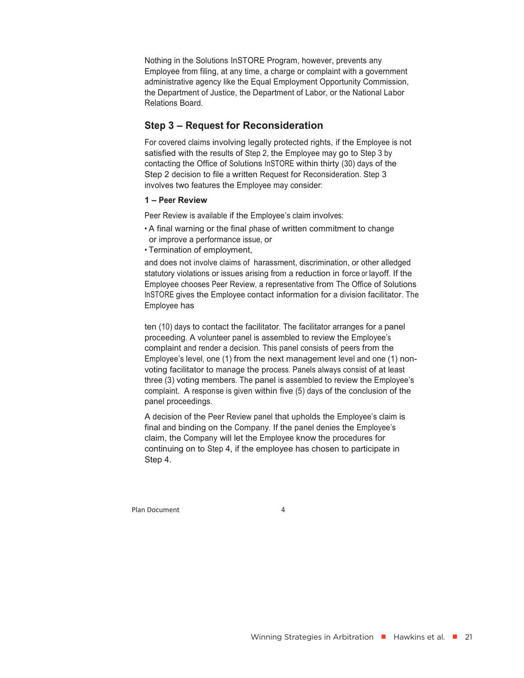Nothing in the Solutions InSTORE Program, however, prevents any Employee from filing, at any time, a charge or complaint with a government administrative agency like the Equal Employment Opportunity Commission, the Department of Justice, the Department of Labor, or the National Labor Relations Board.

# **Step 3 – Request for Reconsideration**

For covered claims involving legally protected rights, if the Employee is not satisfied with the results of Step 2, the Employee may go to Step 3 by contacting the Office of Solutions InSTORE within thirty (30) days of the Step 2 decision to file a written Request for Reconsideration. Step 3 involves two features the Employee may consider:

#### **1 – Peer Review**

Peer Review is available if the Employee's claim involves:

- A final warning or the final phase of written commitment to change or improve a performance issue, or
- Termination of employment,

and does not involve claims of harassment, discrimination, or other alledged statutory violations or issues arising from a reduction in force or layoff. If the Employee chooses Peer Review, a representative from The Office of Solutions InSTORE gives the Employee contact information for a division facilitator. The Employee has

ten (10) days to contact the facilitator. The facilitator arranges for a panel proceeding. A volunteer panel is assembled to review the Employee's complaint and render a decision. This panel consists of peers from the Employee's level, one (1) from the next management level and one (1) nonvoting facilitator to manage the process. Panels always consist of at least three (3) voting members. The panel is assembled to review the Employee's complaint. A response is given within five (5) days of the conclusion of the panel proceedings.

A decision of the Peer Review panel that upholds the Employee's claim is final and binding on the Company. If the panel denies the Employee's claim, the Company will let the Employee know the procedures for continuing on to Step 4, if the employee has chosen to participate in Step 4.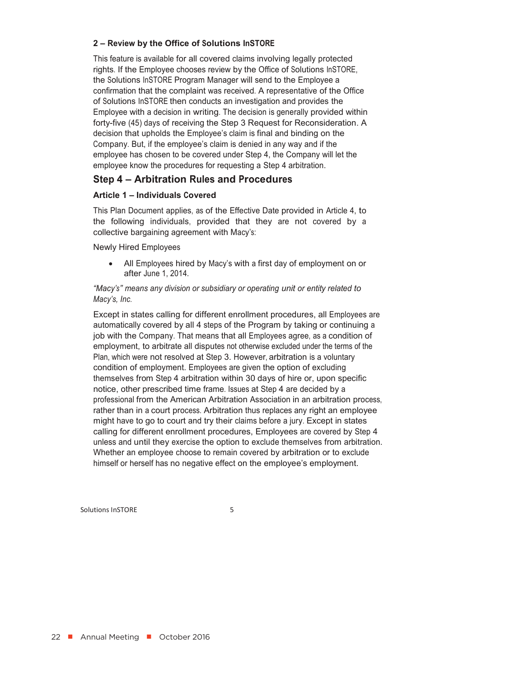### **2 – Review by the Office of Solutions InSTORE**

This feature is available for all covered claims involving legally protected rights. If the Employee chooses review by the Office of Solutions InSTORE, the Solutions InSTORE Program Manager will send to the Employee a confirmation that the complaint was received. A representative of the Office of Solutions InSTORE then conducts an investigation and provides the Employee with a decision in writing. The decision is generally provided within forty-five (45) days of receiving the Step 3 Request for Reconsideration. A decision that upholds the Employee's claim is final and binding on the Company. But, if the employee's claim is denied in any way and if the employee has chosen to be covered under Step 4, the Company will let the employee know the procedures for requesting a Step 4 arbitration.

### **Step 4 – Arbitration Rules and Procedures**

#### **Article 1 – Individuals Covered**

This Plan Document applies, as of the Effective Date provided in Article 4, to the following individuals, provided that they are not covered by a collective bargaining agreement with Macy's:

Newly Hired Employees

 All Employees hired by Macy's with a first day of employment on or after June 1, 2014.

### *"Macy's" means any division or subsidiary or operating unit or entity related to Macy's, Inc.*

Except in states calling for different enrollment procedures, all Employees are automatically covered by all 4 steps of the Program by taking or continuing a job with the Company. That means that all Employees agree, as a condition of employment, to arbitrate all disputes not otherwise excluded under the terms of the Plan, which were not resolved at Step 3. However, arbitration is a voluntary condition of employment. Employees are given the option of excluding themselves from Step 4 arbitration within 30 days of hire or, upon specific notice, other prescribed time frame. Issues at Step 4 are decided by a professional from the American Arbitration Association in an arbitration process, rather than in a court process. Arbitration thus replaces any right an employee might have to go to court and try their claims before a jury. Except in states calling for different enrollment procedures, Employees are covered by Step 4 unless and until they exercise the option to exclude themselves from arbitration. Whether an employee choose to remain covered by arbitration or to exclude himself or herself has no negative effect on the employee's employment.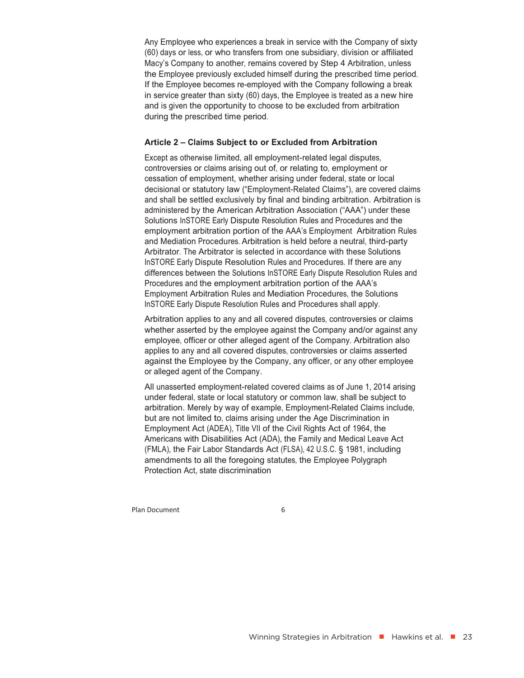Any Employee who experiences a break in service with the Company of sixty (60) days or less, or who transfers from one subsidiary, division or affiliated Macy's Company to another, remains covered by Step 4 Arbitration, unless the Employee previously excluded himself during the prescribed time period. If the Employee becomes re-employed with the Company following a break in service greater than sixty (60) days, the Employee is treated as a new hire and is given the opportunity to choose to be excluded from arbitration during the prescribed time period.

#### **Article 2 – Claims Subject to or Excluded from Arbitration**

Except as otherwise limited, all employment-related legal disputes, controversies or claims arising out of, or relating to, employment or cessation of employment, whether arising under federal, state or local decisional or statutory law ("Employment-Related Claims"), are covered claims and shall be settled exclusively by final and binding arbitration. Arbitration is administered by the American Arbitration Association ("AAA") under these Solutions InSTORE Early Dispute Resolution Rules and Procedures and the employment arbitration portion of the AAA's Employment Arbitration Rules and Mediation Procedures. Arbitration is held before a neutral, third-party Arbitrator. The Arbitrator is selected in accordance with these Solutions InSTORE Early Dispute Resolution Rules and Procedures. If there are any differences between the Solutions InSTORE Early Dispute Resolution Rules and Procedures and the employment arbitration portion of the AAA's Employment Arbitration Rules and Mediation Procedures, the Solutions InSTORE Early Dispute Resolution Rules and Procedures shall apply.

Arbitration applies to any and all covered disputes, controversies or claims whether asserted by the employee against the Company and/or against any employee, officer or other alleged agent of the Company. Arbitration also applies to any and all covered disputes, controversies or claims asserted against the Employee by the Company, any officer, or any other employee or alleged agent of the Company.

All unasserted employment-related covered claims as of June 1, 2014 arising under federal, state or local statutory or common law, shall be subject to arbitration. Merely by way of example, Employment-Related Claims include, but are not limited to, claims arising under the Age Discrimination in Employment Act (ADEA), Title VII of the Civil Rights Act of 1964, the Americans with Disabilities Act (ADA), the Family and Medical Leave Act (FMLA), the Fair Labor Standards Act (FLSA), 42 U.S.C. § 1981, including amendments to all the foregoing statutes, the Employee Polygraph Protection Act, state discrimination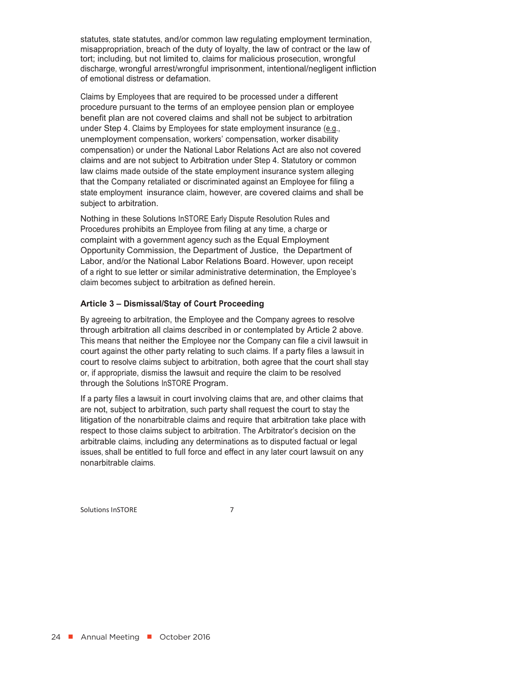statutes, state statutes, and/or common law regulating employment termination, misappropriation, breach of the duty of loyalty, the law of contract or the law of tort; including, but not limited to, claims for malicious prosecution, wrongful discharge, wrongful arrest/wrongful imprisonment, intentional/negligent infliction of emotional distress or defamation.

Claims by Employees that are required to be processed under a different procedure pursuant to the terms of an employee pension plan or employee benefit plan are not covered claims and shall not be subject to arbitration under Step 4. Claims by Employees for state employment insurance (e.g., unemployment compensation, workers' compensation, worker disability compensation) or under the National Labor Relations Act are also not covered claims and are not subject to Arbitration under Step 4. Statutory or common law claims made outside of the state employment insurance system alleging that the Company retaliated or discriminated against an Employee for filing a state employment insurance claim, however, are covered claims and shall be subject to arbitration.

Nothing in these Solutions InSTORE Early Dispute Resolution Rules and Procedures prohibits an Employee from filing at any time, a charge or complaint with a government agency such as the Equal Employment Opportunity Commission, the Department of Justice, the Department of Labor, and/or the National Labor Relations Board. However, upon receipt of a right to sue letter or similar administrative determination, the Employee's claim becomes subject to arbitration as defined herein.

#### **Article 3 – Dismissal/Stay of Court Proceeding**

By agreeing to arbitration, the Employee and the Company agrees to resolve through arbitration all claims described in or contemplated by Article 2 above. This means that neither the Employee nor the Company can file a civil lawsuit in court against the other party relating to such claims. If a party files a lawsuit in court to resolve claims subject to arbitration, both agree that the court shall stay or, if appropriate, dismiss the lawsuit and require the claim to be resolved through the Solutions InSTORE Program.

If a party files a lawsuit in court involving claims that are, and other claims that are not, subject to arbitration, such party shall request the court to stay the litigation of the nonarbitrable claims and require that arbitration take place with respect to those claims subject to arbitration. The Arbitrator'<sup>s</sup> decision on the arbitrable claims, including any determinations as to disputed factual or legal issues, shall be entitled to full force and effect in any later court lawsuit on any nonarbitrable claims.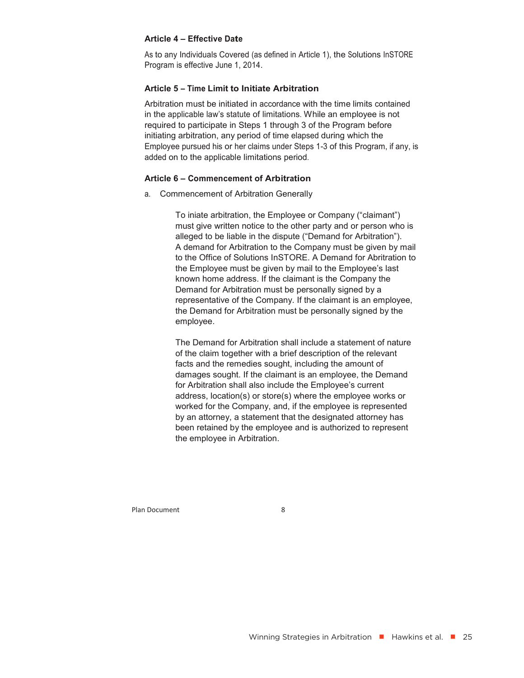#### **Article 4 – Effective Date**

As to any Individuals Covered (as defined in Article 1), the Solutions InSTORE Program is effective June 1, 2014.

#### **Article 5 – Time Limit to Initiate Arbitration**

Arbitration must be initiated in accordance with the time limits contained in the applicable law's statute of limitations. While an employee is not required to participate in Steps 1 through 3 of the Program before initiating arbitration, any period of time elapsed during which the Employee pursued his or her claims under Steps 1-3 of this Program, if any, is added on to the applicable limitations period.

#### **Article 6 – Commencement of Arbitration**

a. Commencement of Arbitration Generally

To iniate arbitration, the Employee or Company ("claimant") must give written notice to the other party and or person who is alleged to be liable in the dispute ("Demand for Arbitration"). A demand for Arbitration to the Company must be given by mail to the Office of Solutions InSTORE. A Demand for Abritration to the Employee must be given by mail to the Employee's last known home address. If the claimant is the Company the Demand for Arbitration must be personally signed by a representative of the Company. If the claimant is an employee, the Demand for Arbitration must be personally signed by the employee.

The Demand for Arbitration shall include a statement of nature of the claim together with a brief description of the relevant facts and the remedies sought, including the amount of damages sought. If the claimant is an employee, the Demand for Arbitration shall also include the Employee's current address, location(s) or store(s) where the employee works or worked for the Company, and, if the employee is represented by an attorney, a statement that the designated attorney has been retained by the employee and is authorized to represent the employee in Arbitration.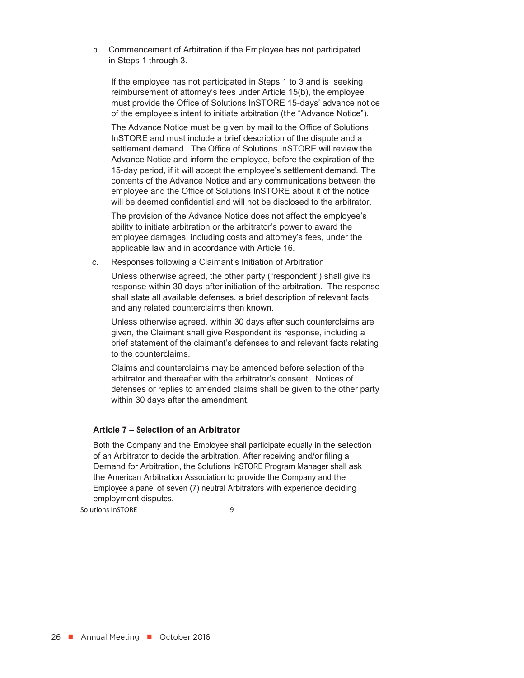b. Commencement of Arbitration if the Employee has not participated in Steps 1 through 3.

If the employee has not participated in Steps 1 to 3 and is seeking reimbursement of attorney's fees under Article 15(b), the employee must provide the Office of Solutions InSTORE 15-days' advance notice of the employee's intent to initiate arbitration (the "Advance Notice").

The Advance Notice must be given by mail to the Office of Solutions InSTORE and must include a brief description of the dispute and a settlement demand. The Office of Solutions InSTORE will review the Advance Notice and inform the employee, before the expiration of the 15-day period, if it will accept the employee's settlement demand. The contents of the Advance Notice and any communications between the employee and the Office of Solutions InSTORE about it of the notice will be deemed confidential and will not be disclosed to the arbitrator.

The provision of the Advance Notice does not affect the employee's ability to initiate arbitration or the arbitrator's power to award the employee damages, including costs and attorney's fees, under the applicable law and in accordance with Article 16.

c. Responses following a Claimant's Initiation of Arbitration

Unless otherwise agreed, the other party ("respondent") shall give its response within 30 days after initiation of the arbitration. The response shall state all available defenses, a brief description of relevant facts and any related counterclaims then known.

Unless otherwise agreed, within 30 days after such counterclaims are given, the Claimant shall give Respondent its response, including a brief statement of the claimant's defenses to and relevant facts relating to the counterclaims.

Claims and counterclaims may be amended before selection of the arbitrator and thereafter with the arbitrator's consent. Notices of defenses or replies to amended claims shall be given to the other party within 30 days after the amendment.

### **Article 7 – Selection of an Arbitrator**

Both the Company and the Employee shall participate equally in the selection of an Arbitrator to decide the arbitration. After receiving and/or filing a Demand for Arbitration, the Solutions InSTORE Program Manager shall ask the American Arbitration Association to provide the Company and the Employee a panel of seven (7) neutral Arbitrators with experience deciding employment disputes.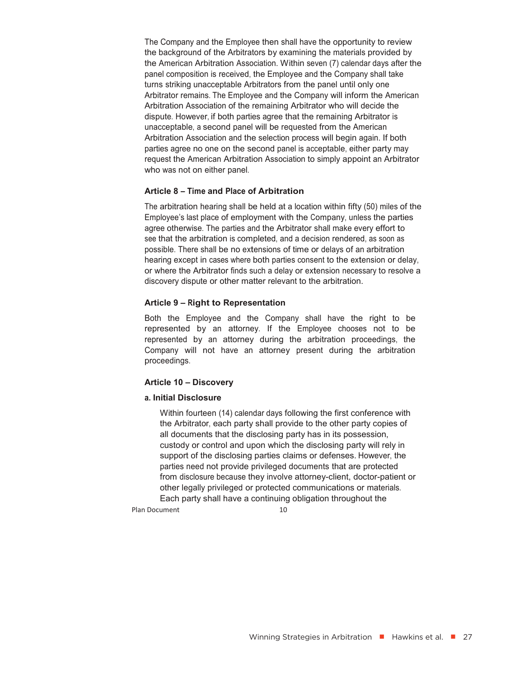The Company and the Employee then shall have the opportunity to review the background of the Arbitrators by examining the materials provided by the American Arbitration Association. Within seven (7) calendar days after the panel composition is received, the Employee and the Company shall take turns striking unacceptable Arbitrators from the panel until only one Arbitrator remains. The Employee and the Company will inform the American Arbitration Association of the remaining Arbitrator who will decide the dispute. However, if both parties agree that the remaining Arbitrator is unacceptable, a second panel will be requested from the American Arbitration Association and the selection process will begin again. If both parties agree no one on the second panel is acceptable, either party may request the American Arbitration Association to simply appoint an Arbitrator who was not on either panel.

#### **Article 8 – Time and Place of Arbitration**

The arbitration hearing shall be held at a location within fifty (50) miles of the Employee's last place of employment with the Company, unless the parties agree otherwise. The parties and the Arbitrator shall make every effort to see that the arbitration is completed, and a decision rendered, as soon as possible. There shall be no extensions of time or delays of an arbitration hearing except in cases where both parties consent to the extension or delay, or where the Arbitrator finds such a delay or extension necessary to resolve a discovery dispute or other matter relevant to the arbitration.

#### **Article 9 – Right to Representation**

Both the Employee and the Company shall have the right to be represented by an attorney. If the Employee chooses not to be represented by an attorney during the arbitration proceedings, the Company will not have an attorney present during the arbitration proceedings.

#### **Article 10 – Discovery**

#### **a. Initial Disclosure**

Within fourteen (14) calendar days following the first conference with the Arbitrator, each party shall provide to the other party copies of all documents that the disclosing party has in its possession, custody or control and upon which the disclosing party will rely in support of the disclosing parties claims or defenses. However, the parties need not provide privileged documents that are protected from disclosure because they involve attorney-client, doctor-patient or other legally privileged or protected communications or materials. Each party shall have a continuing obligation throughout the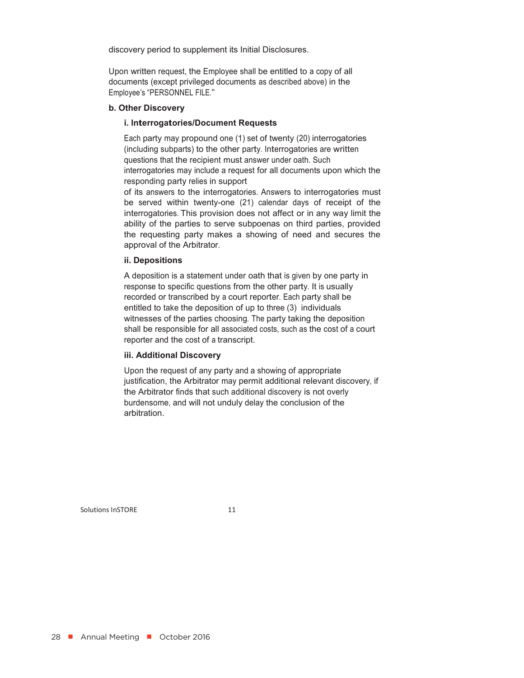discovery period to supplement its Initial Disclosures.

Upon written request, the Employee shall be entitled to a copy of all documents (except privileged documents as described above) in the Employee's "PERSONNEL FILE."

#### **b. Other Discovery**

#### **i. Interrogatories/Document Requests**

Each party may propound one (1) set of twenty (20) interrogatories (including subparts) to the other party. Interrogatories are written questions that the recipient must answer under oath. Such interrogatories may include a request for all documents upon which the responding party relies in support

of its answers to the interrogatories. Answers to interrogatories must be served within twenty-one (21) calendar days of receipt of the interrogatories. This provision does not affect or in any way limit the ability of the parties to serve subpoenas on third parties, provided the requesting party makes a showing of need and secures the approval of the Arbitrator.

#### **ii. Depositions**

A deposition is a statement under oath that is given by one party in response to specific questions from the other party. It is usually recorded or transcribed by a court reporter. Each party shall be entitled to take the deposition of up to three (3) individuals witnesses of the parties choosing. The party taking the deposition shall be responsible for all associated costs, such as the cost of a court reporter and the cost of a transcript.

#### **iii. Additional Discovery**

Upon the request of any party and a showing of appropriate justification, the Arbitrator may permit additional relevant discovery, if the Arbitrator finds that such additional discovery is not overly burdensome, and will not unduly delay the conclusion of the arbitration.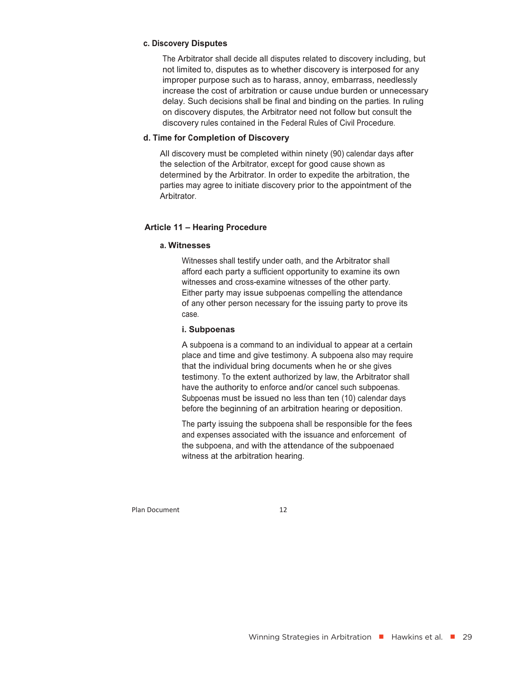#### **c. Discovery Disputes**

The Arbitrator shall decide all disputes related to discovery including, but not limited to, disputes as to whether discovery is interposed for any improper purpose such as to harass, annoy, embarrass, needlessly increase the cost of arbitration or cause undue burden or unnecessary delay. Such decisions shall be final and binding on the parties. In ruling on discovery disputes, the Arbitrator need not follow but consult the discovery rules contained in the Federal Rules of Civil Procedure.

#### **d. Time for Completion of Discovery**

All discovery must be completed within ninety (90) calendar days after the selection of the Arbitrator, except for good cause shown as determined by the Arbitrator. In order to expedite the arbitration, the parties may agree to initiate discovery prior to the appointment of the Arbitrator.

#### **Article 11 – Hearing Procedure**

#### **a. Witnesses**

Witnesses shall testify under oath, and the Arbitrator shall afford each party a sufficient opportunity to examine its own witnesses and cross-examine witnesses of the other party. Either party may issue subpoenas compelling the attendance of any other person necessary for the issuing party to prove its case.

#### **i. Subpoenas**

A subpoena is a command to an individual to appear at a certain place and time and give testimony. A subpoena also may require that the individual bring documents when he or she gives testimony. To the extent authorized by law, the Arbitrator shall have the authority to enforce and/or cancel such subpoenas. Subpoenas must be issued no less than ten (10) calendar days before the beginning of an arbitration hearing or deposition.

The party issuing the subpoena shall be responsible for the fees and expenses associated with the issuance and enforcement of the subpoena, and with the attendance of the subpoenaed witness at the arbitration hearing.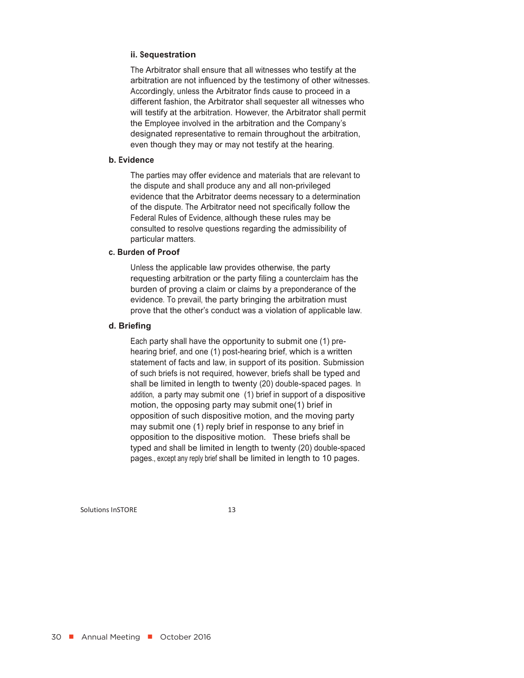#### **ii. Sequestration**

The Arbitrator shall ensure that all witnesses who testify at the arbitration are not influenced by the testimony of other witnesses. Accordingly, unless the Arbitrator finds cause to proceed in a different fashion, the Arbitrator shall sequester all witnesses who will testify at the arbitration. However, the Arbitrator shall permit the Employee involved in the arbitration and the Company's designated representative to remain throughout the arbitration, even though they may or may not testify at the hearing.

#### **b. Evidence**

The parties may offer evidence and materials that are relevant to the dispute and shall produce any and all non-privileged evidence that the Arbitrator deems necessary to a determination of the dispute. The Arbitrator need not specifically follow the Federal Rules of Evidence, although these rules may be consulted to resolve questions regarding the admissibility of particular matters.

#### **c. Burden of Proof**

Unless the applicable law provides otherwise, the party requesting arbitration or the party filing a counterclaim has the burden of proving a claim or claims by a preponderance of the evidence. To prevail, the party bringing the arbitration must prove that the other's conduct was a violation of applicable law.

#### **d. Briefing**

Each party shall have the opportunity to submit one (1) prehearing brief, and one (1) post-hearing brief, which is a written statement of facts and law, in support of its position. Submission of such briefs is not required, however, briefs shall be typed and shall be limited in length to twenty (20) double-spaced pages. In addition, a party may submit one (1) brief in support of a dispositive motion, the opposing party may submit one(1) brief in opposition of such dispositive motion, and the moving party may submit one (1) reply brief in response to any brief in opposition to the dispositive motion. These briefs shall be typed and shall be limited in length to twenty (20) double-spaced pages., except any reply brief shall be limited in length to 10 pages.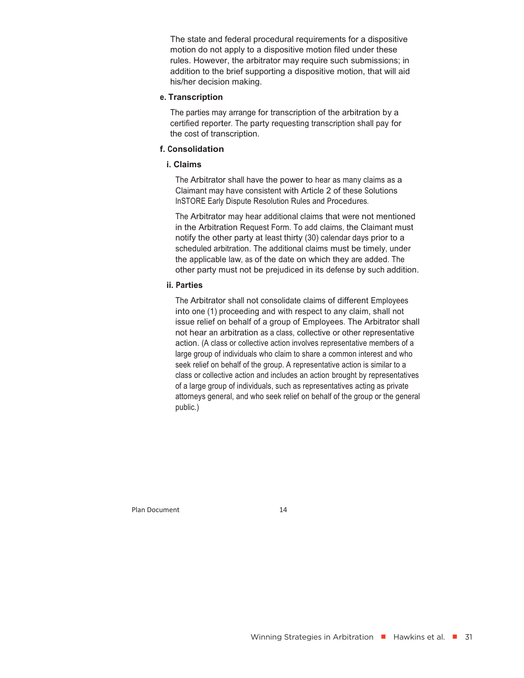The state and federal procedural requirements for a dispositive motion do not apply to a dispositive motion filed under these rules. However, the arbitrator may require such submissions; in addition to the brief supporting a dispositive motion, that will aid his/her decision making.

#### **e. Transcription**

The parties may arrange for transcription of the arbitration by a certified reporter. The party requesting transcription shall pay for the cost of transcription.

#### **f. Consolidation**

#### **i. Claims**

The Arbitrator shall have the power to hear as many claims as a Claimant may have consistent with Article 2 of these Solutions InSTORE Early Dispute Resolution Rules and Procedures.

The Arbitrator may hear additional claims that were not mentioned in the Arbitration Request Form. To add claims, the Claimant must notify the other party at least thirty (30) calendar days prior to a scheduled arbitration. The additional claims must be timely, under the applicable law, as of the date on which they are added. The other party must not be prejudiced in its defense by such addition.

### **ii. Parties**

The Arbitrator shall not consolidate claims of different Employees into one (1) proceeding and with respect to any claim, shall not issue relief on behalf of a group of Employees. The Arbitrator shall not hear an arbitration as a class, collective or other representative action. (A class or collective action involves representative members of a large group of individuals who claim to share a common interest and who seek relief on behalf of the group. A representative action is similar to a class or collective action and includes an action brought by representatives of a large group of individuals, such as representatives acting as private attorneys general, and who seek relief on behalf of the group or the general public.)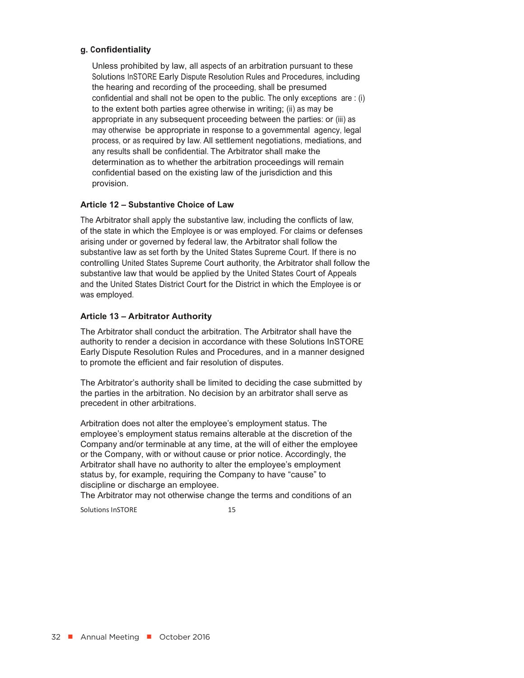#### **g. Confidentiality**

Unless prohibited by law, all aspects of an arbitration pursuant to these Solutions InSTORE Early Dispute Resolution Rules and Procedures, including the hearing and recording of the proceeding, shall be presumed confidential and shall not be open to the public. The only exceptions are : (i) to the extent both parties agree otherwise in writing; (ii) as may be appropriate in any subsequent proceeding between the parties: or (iii) as may otherwise be appropriate in response to a governmental agency, legal process, or as required by law. All settlement negotiations, mediations, and any results shall be confidential. The Arbitrator shall make the determination as to whether the arbitration proceedings will remain confidential based on the existing law of the jurisdiction and this provision.

#### **Article 12 – Substantive Choice of Law**

The Arbitrator shall apply the substantive law, including the conflicts of law, of the state in which the Employee is or was employed. For claims or defenses arising under or governed by federal law, the Arbitrator shall follow the substantive law as set forth by the United States Supreme Court. If there is no controlling United States Supreme Court authority, the Arbitrator shall follow the substantive law that would be applied by the United States Court of Appeals and the United States District Court for the District in which the Employee is or was employed.

#### **Article 13 – Arbitrator Authority**

The Arbitrator shall conduct the arbitration. The Arbitrator shall have the authority to render a decision in accordance with these Solutions InSTORE Early Dispute Resolution Rules and Procedures, and in a manner designed to promote the efficient and fair resolution of disputes.

The Arbitrator's authority shall be limited to deciding the case submitted by the parties in the arbitration. No decision by an arbitrator shall serve as precedent in other arbitrations.

Arbitration does not alter the employee's employment status. The employee's employment status remains alterable at the discretion of the Company and/or terminable at any time, at the will of either the employee or the Company, with or without cause or prior notice. Accordingly, the Arbitrator shall have no authority to alter the employee's employment status by, for example, requiring the Company to have "cause" to discipline or discharge an employee.

The Arbitrator may not otherwise change the terms and conditions of an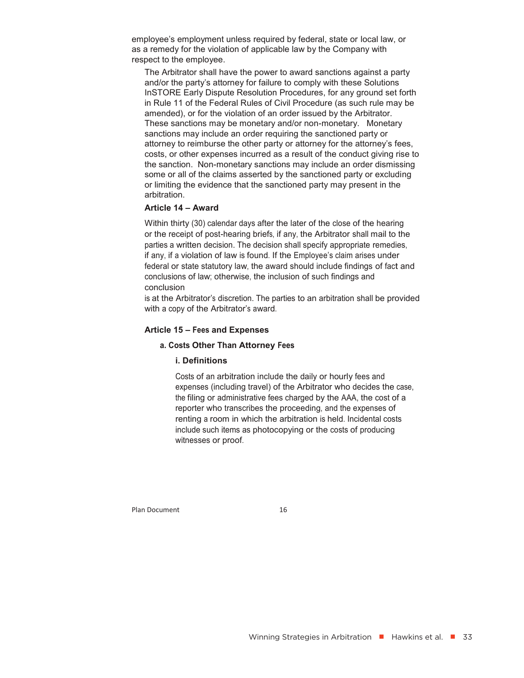employee's employment unless required by federal, state or local law, or as a remedy for the violation of applicable law by the Company with respect to the employee.

The Arbitrator shall have the power to award sanctions against a party and/or the party's attorney for failure to comply with these Solutions InSTORE Early Dispute Resolution Procedures, for any ground set forth in Rule 11 of the Federal Rules of Civil Procedure (as such rule may be amended), or for the violation of an order issued by the Arbitrator. These sanctions may be monetary and/or non-monetary. Monetary sanctions may include an order requiring the sanctioned party or attorney to reimburse the other party or attorney for the attorney's fees, costs, or other expenses incurred as a result of the conduct giving rise to the sanction. Non-monetary sanctions may include an order dismissing some or all of the claims asserted by the sanctioned party or excluding or limiting the evidence that the sanctioned party may present in the arbitration.

#### **Article 14 – Award**

Within thirty (30) calendar days after the later of the close of the hearing or the receipt of post-hearing briefs, if any, the Arbitrator shall mail to the parties a written decision. The decision shall specify appropriate remedies, if any, if a violation of law is found. If the Employee's claim arises under federal or state statutory law, the award should include findings of fact and conclusions of law; otherwise, the inclusion of such findings and conclusion

is at the Arbitrator's discretion. The parties to an arbitration shall be provided with a copy of the Arbitrator's award.

#### **Article 15 – Fees and Expenses**

#### **a. Costs Other Than Attorney Fees**

#### **i. Definitions**

Costs of an arbitration include the daily or hourly fees and expenses (including travel) of the Arbitrator who decides the case, the filing or administrative fees charged by the AAA, the cost of a reporter who transcribes the proceeding, and the expenses of renting a room in which the arbitration is held. Incidental costs include such items as photocopying or the costs of producing witnesses or proof.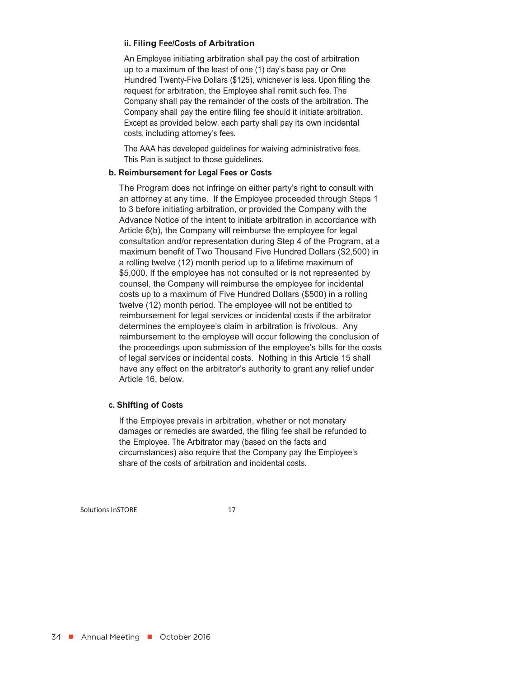#### **ii. Filing Fee/Costs of Arbitration**

An Employee initiating arbitration shall pay the cost of arbitration up to a maximum of the least of one (1) day's base pay or One Hundred Twenty-Five Dollars (\$125), whichever is less. Upon filing the request for arbitration, the Employee shall remit such fee. The Company shall pay the remainder of the costs of the arbitration. The Company shall pay the entire filing fee should it initiate arbitration. Except as provided below, each party shall pay its own incidental costs, including attorney's fees.

The AAA has developed guidelines for waiving administrative fees. This Plan is subject to those guidelines.

#### **b. Reimbursement for Legal Fees or Costs**

The Program does not infringe on either party's right to consult with an attorney at any time. If the Employee proceeded through Steps 1 to 3 before initiating arbitration, or provided the Company with the Advance Notice of the intent to initiate arbitration in accordance with Article 6(b), the Company will reimburse the employee for legal consultation and/or representation during Step 4 of the Program, at a maximum benefit of Two Thousand Five Hundred Dollars (\$2,500) in a rolling twelve (12) month period up to a lifetime maximum of \$5,000. If the employee has not consulted or is not represented by counsel, the Company will reimburse the employee for incidental costs up to a maximum of Five Hundred Dollars (\$500) in a rolling twelve (12) month period. The employee will not be entitled to reimbursement for legal services or incidental costs if the arbitrator determines the employee's claim in arbitration is frivolous. Any reimbursement to the employee will occur following the conclusion of the proceedings upon submission of the employee's bills for the costs of legal services or incidental costs. Nothing in this Article 15 shall have any effect on the arbitrator's authority to grant any relief under Article 16, below.

#### **c. Shifting of Costs**

If the Employee prevails in arbitration, whether or not monetary damages or remedies are awarded, the filing fee shall be refunded to the Employee. The Arbitrator may (based on the facts and circumstances) also require that the Company pay the Employee's share of the costs of arbitration and incidental costs.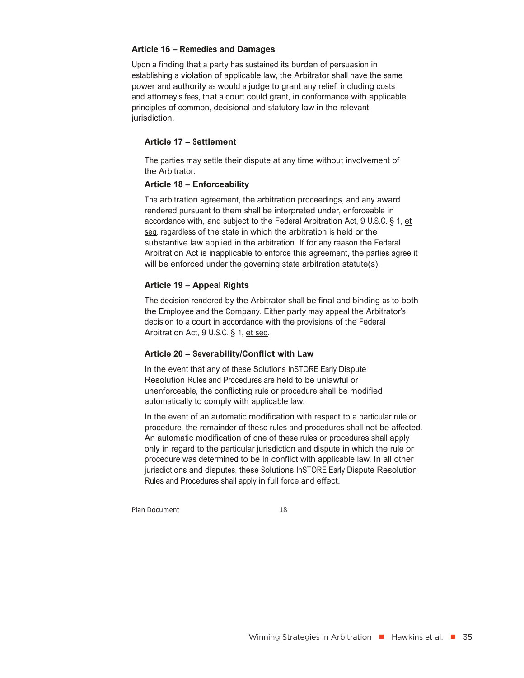#### **Article 16 – Remedies and Damages**

Upon a finding that a party has sustained its burden of persuasion in establishing a violation of applicable law, the Arbitrator shall have the same power and authority as would a judge to grant any relief, including costs and attorney's fees, that a court could grant, in conformance with applicable principles of common, decisional and statutory law in the relevant jurisdiction.

#### **Article 17 – Settlement**

The parties may settle their dispute at any time without involvement of the Arbitrator.

#### **Article 18 – Enforceability**

The arbitration agreement, the arbitration proceedings, and any award rendered pursuant to them shall be interpreted under, enforceable in accordance with, and subject to the Federal Arbitration Act, 9 U.S.C. § 1, et seq. regardless of the state in which the arbitration is held or the substantive law applied in the arbitration. If for any reason the Federal Arbitration Act is inapplicable to enforce this agreement, the parties agree it will be enforced under the governing state arbitration statute(s).

#### **Article 19 – Appeal Rights**

The decision rendered by the Arbitrator shall be final and binding as to both the Employee and the Company. Either party may appeal the Arbitrator's decision to a court in accordance with the provisions of the Federal Arbitration Act, 9 U.S.C. § 1, et seq.

#### **Article 20 – Severability/Conflict with Law**

In the event that any of these Solutions InSTORE Early Dispute Resolution Rules and Procedures are held to be unlawful or unenforceable, the conflicting rule or procedure shall be modified automatically to comply with applicable law.

In the event of an automatic modification with respect to a particular rule or procedure, the remainder of these rules and procedures shall not be affected. An automatic modification of one of these rules or procedures shall apply only in regard to the particular jurisdiction and dispute in which the rule or procedure was determined to be in conflict with applicable law. In all other jurisdictions and disputes, these Solutions InSTORE Early Dispute Resolution Rules and Procedures shall apply in full force and effect.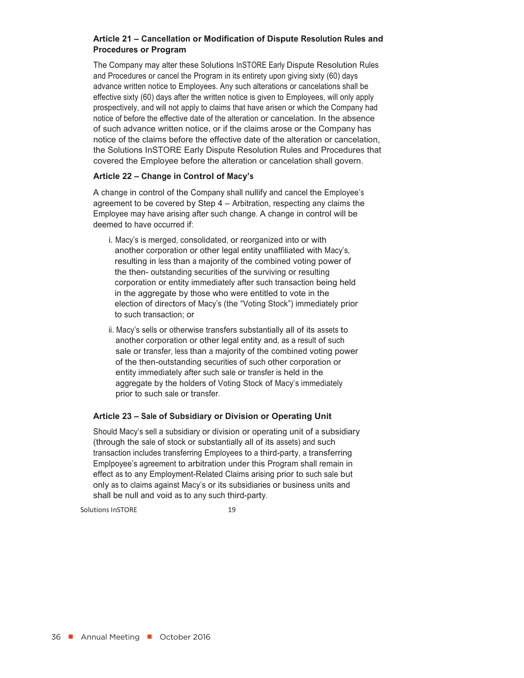### **Article 21 – Cancellation or Modification of Dispute Resolution Rules and Procedures or Program**

The Company may alter these Solutions InSTORE Early Dispute Resolution Rules and Procedures or cancel the Program in its entirety upon giving sixty (60) days advance written notice to Employees. Any such alterations or cancelations shall be effective sixty (60) days after the written notice is given to Employees, will only apply prospectively, and will not apply to claims that have arisen or which the Company had notice of before the effective date of the alteration or cancelation. In the absence of such advance written notice, or if the claims arose or the Company has notice of the claims before the effective date of the alteration or cancelation, the Solutions InSTORE Early Dispute Resolution Rules and Procedures that covered the Employee before the alteration or cancelation shall govern.

#### **Article 22 – Change in Control of Macy's**

A change in control of the Company shall nullify and cancel the Employee's agreement to be covered by Step 4 – Arbitration, respecting any claims the Employee may have arising after such change. A change in control will be deemed to have occurred if:

- i. Macy's is merged, consolidated, or reorganized into or with another corporation or other legal entity unaffiliated with Macy's, resulting in less than a majority of the combined voting power of the then- outstanding securities of the surviving or resulting corporation or entity immediately after such transaction being held in the aggregate by those who were entitled to vote in the election of directors of Macy's (the "Voting Stock") immediately prior to such transaction; or
- ii. Macy's sells or otherwise transfers substantially all of its assets to another corporation or other legal entity and, as a result of such sale or transfer, less than a majority of the combined voting power of the then-outstanding securities of such other corporation or entity immediately after such sale or transfer is held in the aggregate by the holders of Voting Stock of Macy's immediately prior to such sale or transfer.

### **Article 23 – Sale of Subsidiary or Division or Operating Unit**

Should Macy's sell a subsidiary or division or operating unit of a subsidiary (through the sale of stock or substantially all of its assets) and such transaction includes transferring Employees to a third-party, a transferring Emplpoyee's agreement to arbitration under this Program shall remain in effect as to any Employment-Related Claims arising prior to such sale but only as to claims against Macy's or its subsidiaries or business units and shall be null and void as to any such third-party.